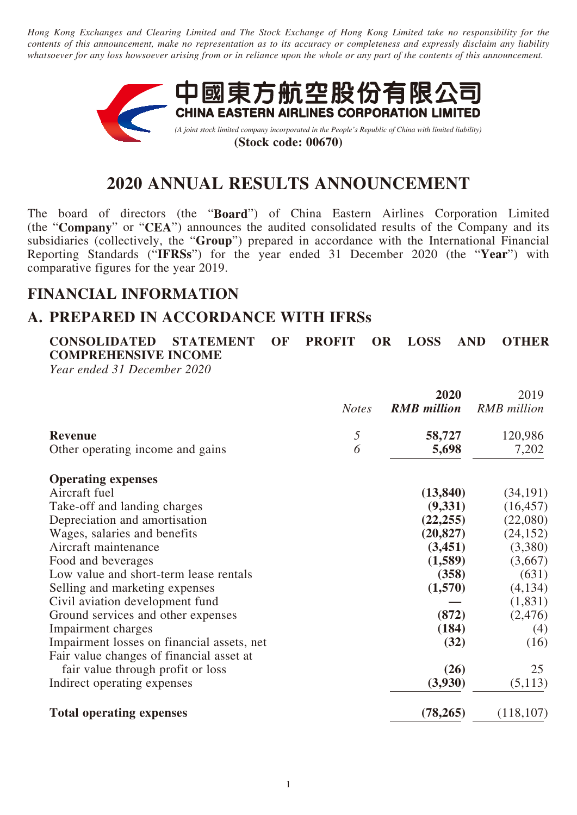*Hong Kong Exchanges and Clearing Limited and The Stock Exchange of Hong Kong Limited take no responsibility for the contents of this announcement, make no representation as to its accuracy or completeness and expressly disclaim any liability whatsoever for any loss howsoever arising from or in reliance upon the whole or any part of the contents of this announcement.*



# **2020 ANNUAL RESULTS ANNOUNCEMENT**

The board of directors (the "**Board**") of China Eastern Airlines Corporation Limited (the "**Company**" or "**CEA**") announces the audited consolidated results of the Company and its subsidiaries (collectively, the "**Group**") prepared in accordance with the International Financial Reporting Standards ("**IFRSs**") for the year ended 31 December 2020 (the "**Year**") with comparative figures for the year 2019.

# **FINANCIAL INFORMATION**

# **A. PREPARED IN ACCORDANCE WITH IFRSs**

**CONSOLIDATED STATEMENT OF PROFIT OR LOSS AND OTHER COMPREHENSIVE INCOME**

*Year ended 31 December 2020*

|                                            |              | 2020               | 2019               |
|--------------------------------------------|--------------|--------------------|--------------------|
|                                            | <b>Notes</b> | <b>RMB</b> million | <b>RMB</b> million |
| <b>Revenue</b>                             | 5            | 58,727             | 120,986            |
| Other operating income and gains           | 6            | 5,698              | 7,202              |
| <b>Operating expenses</b>                  |              |                    |                    |
| Aircraft fuel                              |              | (13, 840)          | (34, 191)          |
| Take-off and landing charges               |              | (9, 331)           | (16, 457)          |
| Depreciation and amortisation              |              | (22, 255)          | (22,080)           |
| Wages, salaries and benefits               |              | (20, 827)          | (24, 152)          |
| Aircraft maintenance                       |              | (3,451)            | (3,380)            |
| Food and beverages                         |              | (1,589)            | (3,667)            |
| Low value and short-term lease rentals     |              | (358)              | (631)              |
| Selling and marketing expenses             |              | (1,570)            | (4,134)            |
| Civil aviation development fund            |              |                    | (1,831)            |
| Ground services and other expenses         |              | (872)              | (2,476)            |
| Impairment charges                         |              | (184)              | (4)                |
| Impairment losses on financial assets, net |              | (32)               | (16)               |
| Fair value changes of financial asset at   |              |                    |                    |
| fair value through profit or loss          |              | (26)               | 25                 |
| Indirect operating expenses                |              | (3,930)            | (5,113)            |
| <b>Total operating expenses</b>            |              | (78, 265)          | (118, 107)         |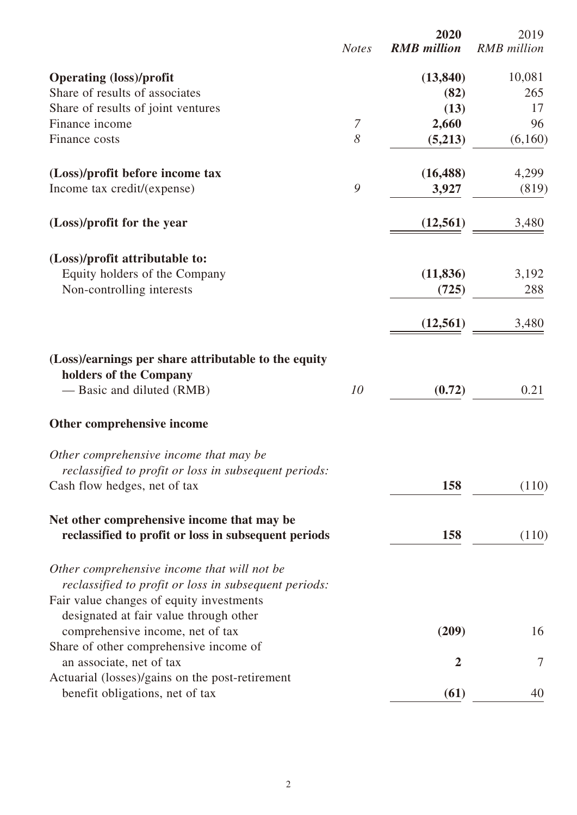|                                                                                                      | <b>Notes</b> | 2020<br><b>RMB</b> million | 2019<br><b>RMB</b> million |
|------------------------------------------------------------------------------------------------------|--------------|----------------------------|----------------------------|
| <b>Operating (loss)/profit</b>                                                                       |              | (13, 840)                  | 10,081                     |
| Share of results of associates                                                                       |              | (82)                       | 265                        |
| Share of results of joint ventures                                                                   |              | (13)                       | 17                         |
| Finance income                                                                                       | 7            | 2,660                      | 96                         |
| Finance costs                                                                                        | 8            | (5,213)                    | (6,160)                    |
| (Loss)/profit before income tax                                                                      |              | (16, 488)                  | 4,299                      |
| Income tax credit/(expense)                                                                          | 9            | 3,927                      | (819)                      |
| (Loss)/profit for the year                                                                           |              | (12, 561)                  | 3,480                      |
| (Loss)/profit attributable to:                                                                       |              |                            |                            |
| Equity holders of the Company                                                                        |              | (11, 836)                  | 3,192                      |
| Non-controlling interests                                                                            |              | (725)                      | 288                        |
|                                                                                                      |              | (12, 561)                  | 3,480                      |
| (Loss)/earnings per share attributable to the equity<br>holders of the Company                       |              |                            |                            |
| — Basic and diluted (RMB)                                                                            | 10           | (0.72)                     | 0.21                       |
| Other comprehensive income                                                                           |              |                            |                            |
| Other comprehensive income that may be                                                               |              |                            |                            |
| reclassified to profit or loss in subsequent periods:                                                |              |                            |                            |
| Cash flow hedges, net of tax                                                                         |              | 158                        | (110)                      |
| Net other comprehensive income that may be<br>reclassified to profit or loss in subsequent periods   |              | 158                        | (110)                      |
| Other comprehensive income that will not be<br>reclassified to profit or loss in subsequent periods: |              |                            |                            |
| Fair value changes of equity investments                                                             |              |                            |                            |
| designated at fair value through other                                                               |              |                            |                            |
| comprehensive income, net of tax                                                                     |              | (209)                      | 16                         |
| Share of other comprehensive income of                                                               |              |                            |                            |
| an associate, net of tax                                                                             |              | $\overline{2}$             | 7                          |
| Actuarial (losses)/gains on the post-retirement                                                      |              |                            | 40                         |
| benefit obligations, net of tax                                                                      |              | (61)                       |                            |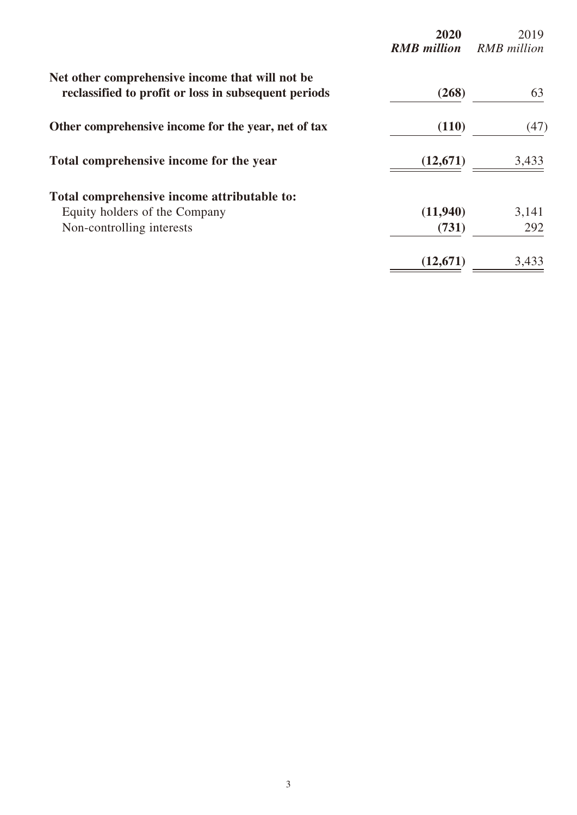|                                                                                                         | 2020<br><b>RMB</b> million | 2019<br><b>RMB</b> million |
|---------------------------------------------------------------------------------------------------------|----------------------------|----------------------------|
| Net other comprehensive income that will not be<br>reclassified to profit or loss in subsequent periods | (268)                      | 63                         |
| Other comprehensive income for the year, net of tax                                                     | (110)                      | (47)                       |
| Total comprehensive income for the year                                                                 | (12, 671)                  | 3,433                      |
| Total comprehensive income attributable to:                                                             |                            |                            |
| Equity holders of the Company                                                                           | (11,940)                   | 3,141                      |
| Non-controlling interests                                                                               | (731)                      | 292                        |
|                                                                                                         | (12,671)                   | 3,433                      |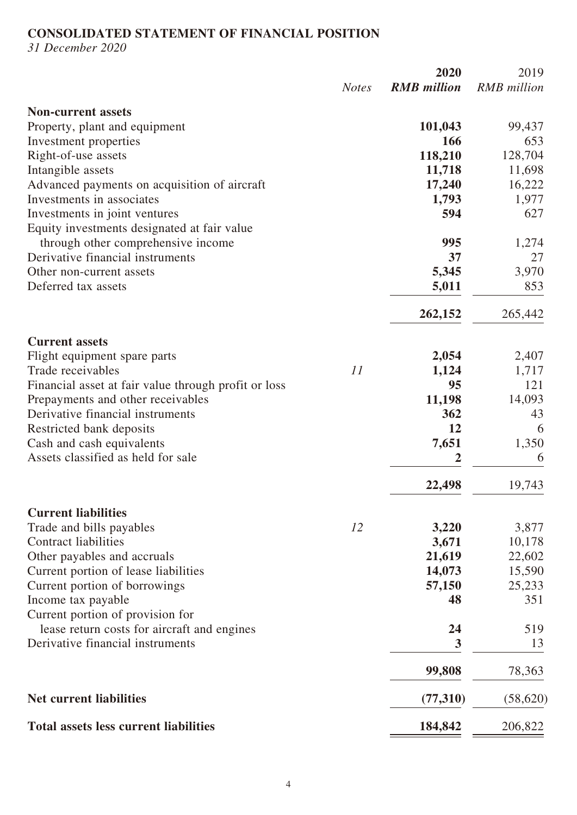# **CONSOLIDATED STATEMENT OF FINANCIAL POSITION**

*31 December 2020*

|                                                      |              | 2020               | 2019               |
|------------------------------------------------------|--------------|--------------------|--------------------|
|                                                      | <b>Notes</b> | <b>RMB</b> million | <b>RMB</b> million |
| <b>Non-current assets</b>                            |              |                    |                    |
| Property, plant and equipment                        |              | 101,043            | 99,437             |
| Investment properties                                |              | 166                | 653                |
| Right-of-use assets                                  |              | 118,210            | 128,704            |
| Intangible assets                                    |              | 11,718             | 11,698             |
| Advanced payments on acquisition of aircraft         |              | 17,240             | 16,222             |
| Investments in associates                            |              | 1,793              | 1,977              |
| Investments in joint ventures                        |              | 594                | 627                |
| Equity investments designated at fair value          |              |                    |                    |
| through other comprehensive income                   |              | 995                | 1,274              |
| Derivative financial instruments                     |              | 37                 | 27                 |
| Other non-current assets                             |              | 5,345              | 3,970              |
| Deferred tax assets                                  |              | 5,011              | 853                |
|                                                      |              | 262,152            | 265,442            |
| <b>Current assets</b>                                |              |                    |                    |
| Flight equipment spare parts                         |              | 2,054              | 2,407              |
| Trade receivables                                    | 11           | 1,124              | 1,717              |
| Financial asset at fair value through profit or loss |              | 95                 | 121                |
| Prepayments and other receivables                    |              | 11,198             | 14,093             |
| Derivative financial instruments                     |              | 362                | 43                 |
| Restricted bank deposits                             |              | 12                 | 6                  |
| Cash and cash equivalents                            |              | 7,651              | 1,350              |
| Assets classified as held for sale                   |              | $\mathbf 2$        | 6                  |
|                                                      |              | 22,498             | 19,743             |
| <b>Current liabilities</b>                           |              |                    |                    |
| Trade and bills payables                             | 12           | 3,220              | 3,877              |
| <b>Contract liabilities</b>                          |              | 3,671              | 10,178             |
| Other payables and accruals                          |              | 21,619             | 22,602             |
| Current portion of lease liabilities                 |              | 14,073             | 15,590             |
| Current portion of borrowings                        |              | 57,150             | 25,233             |
| Income tax payable                                   |              | 48                 | 351                |
| Current portion of provision for                     |              |                    |                    |
| lease return costs for aircraft and engines          |              | 24                 | 519                |
| Derivative financial instruments                     |              | 3                  | 13                 |
|                                                      |              | 99,808             | 78,363             |
| <b>Net current liabilities</b>                       |              | (77, 310)          | (58, 620)          |
| <b>Total assets less current liabilities</b>         |              | 184,842            | 206,822            |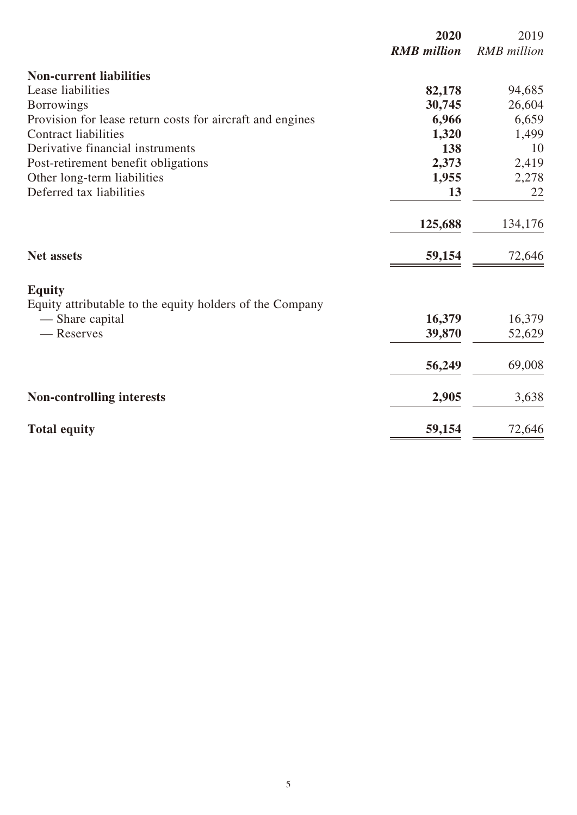|                                                                             | 2020<br><b>RMB</b> million | 2019<br><b>RMB</b> million |
|-----------------------------------------------------------------------------|----------------------------|----------------------------|
| <b>Non-current liabilities</b>                                              |                            |                            |
| Lease liabilities                                                           | 82,178                     | 94,685                     |
| <b>Borrowings</b>                                                           | 30,745                     | 26,604                     |
| Provision for lease return costs for aircraft and engines                   | 6,966                      | 6,659                      |
| <b>Contract liabilities</b>                                                 | 1,320                      | 1,499                      |
| Derivative financial instruments                                            | 138                        | 10                         |
| Post-retirement benefit obligations                                         | 2,373                      | 2,419                      |
| Other long-term liabilities                                                 | 1,955                      | 2,278                      |
| Deferred tax liabilities                                                    | 13                         | 22                         |
|                                                                             | 125,688                    | 134,176                    |
| <b>Net assets</b>                                                           | 59,154                     | 72,646                     |
| <b>Equity</b>                                                               |                            |                            |
| Equity attributable to the equity holders of the Company<br>- Share capital | 16,379                     | 16,379                     |
| — Reserves                                                                  | 39,870                     | 52,629                     |
|                                                                             | 56,249                     | 69,008                     |
| <b>Non-controlling interests</b>                                            | 2,905                      | 3,638                      |
| <b>Total equity</b>                                                         | 59,154                     | 72,646                     |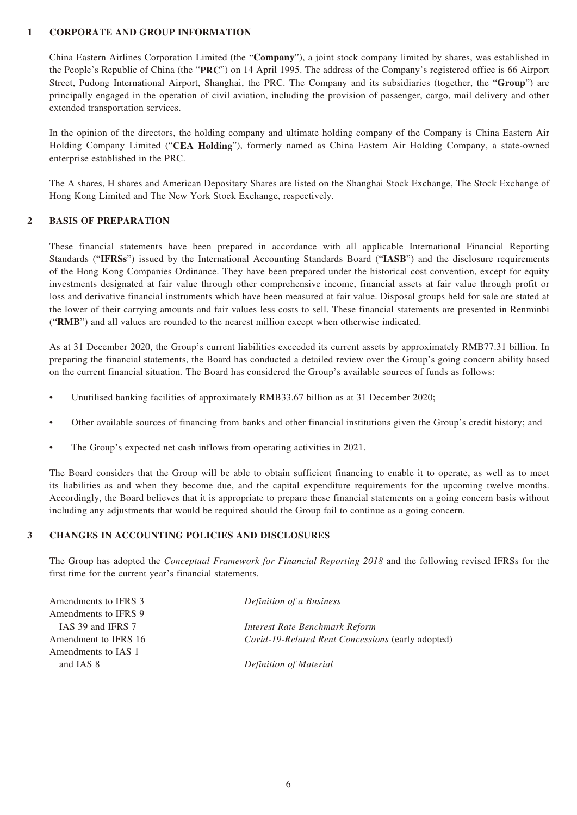### **1 CORPORATE AND GROUP INFORMATION**

China Eastern Airlines Corporation Limited (the "**Company**"), a joint stock company limited by shares, was established in the People's Republic of China (the "**PRC**") on 14 April 1995. The address of the Company's registered office is 66 Airport Street, Pudong International Airport, Shanghai, the PRC. The Company and its subsidiaries (together, the "**Group**") are principally engaged in the operation of civil aviation, including the provision of passenger, cargo, mail delivery and other extended transportation services.

In the opinion of the directors, the holding company and ultimate holding company of the Company is China Eastern Air Holding Company Limited ("**CEA Holding**"), formerly named as China Eastern Air Holding Company, a state-owned enterprise established in the PRC.

The A shares, H shares and American Depositary Shares are listed on the Shanghai Stock Exchange, The Stock Exchange of Hong Kong Limited and The New York Stock Exchange, respectively.

### **2 BASIS OF PREPARATION**

These financial statements have been prepared in accordance with all applicable International Financial Reporting Standards ("**IFRSs**") issued by the International Accounting Standards Board ("**IASB**") and the disclosure requirements of the Hong Kong Companies Ordinance. They have been prepared under the historical cost convention, except for equity investments designated at fair value through other comprehensive income, financial assets at fair value through profit or loss and derivative financial instruments which have been measured at fair value. Disposal groups held for sale are stated at the lower of their carrying amounts and fair values less costs to sell. These financial statements are presented in Renminbi ("**RMB**") and all values are rounded to the nearest million except when otherwise indicated.

As at 31 December 2020, the Group's current liabilities exceeded its current assets by approximately RMB77.31 billion. In preparing the financial statements, the Board has conducted a detailed review over the Group's going concern ability based on the current financial situation. The Board has considered the Group's available sources of funds as follows:

- Unutilised banking facilities of approximately RMB33.67 billion as at 31 December 2020;
- Other available sources of financing from banks and other financial institutions given the Group's credit history; and
- The Group's expected net cash inflows from operating activities in 2021.

The Board considers that the Group will be able to obtain sufficient financing to enable it to operate, as well as to meet its liabilities as and when they become due, and the capital expenditure requirements for the upcoming twelve months. Accordingly, the Board believes that it is appropriate to prepare these financial statements on a going concern basis without including any adjustments that would be required should the Group fail to continue as a going concern.

### **3 CHANGES IN ACCOUNTING POLICIES AND DISCLOSURES**

The Group has adopted the *Conceptual Framework for Financial Reporting 2018* and the following revised IFRSs for the first time for the current year's financial statements.

| Amendments to IFRS 3 | Definition of a Business                          |
|----------------------|---------------------------------------------------|
| Amendments to IFRS 9 |                                                   |
| IAS 39 and IFRS 7    | Interest Rate Benchmark Reform                    |
| Amendment to IFRS 16 | Covid-19-Related Rent Concessions (early adopted) |
| Amendments to IAS 1  |                                                   |
| and IAS 8            | Definition of Material                            |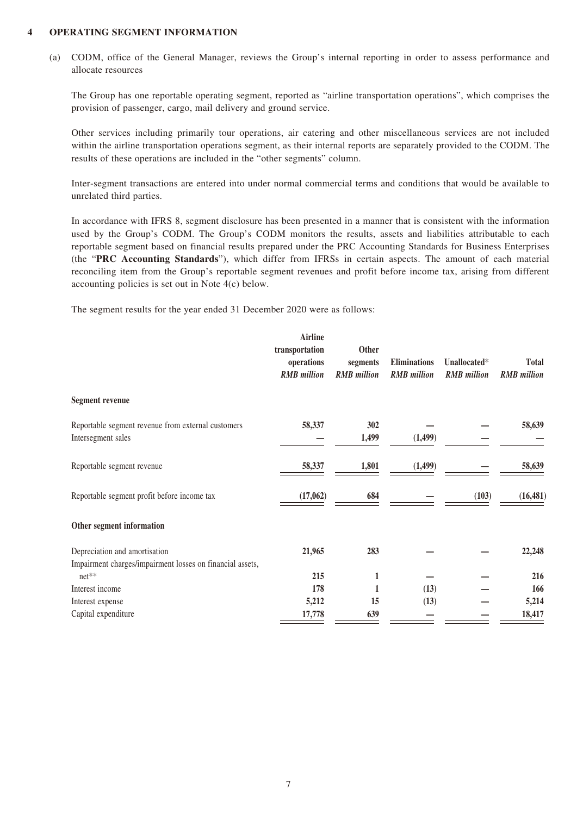### **4 OPERATING SEGMENT INFORMATION**

(a) CODM, office of the General Manager, reviews the Group's internal reporting in order to assess performance and allocate resources

The Group has one reportable operating segment, reported as "airline transportation operations", which comprises the provision of passenger, cargo, mail delivery and ground service.

Other services including primarily tour operations, air catering and other miscellaneous services are not included within the airline transportation operations segment, as their internal reports are separately provided to the CODM. The results of these operations are included in the "other segments" column.

Inter-segment transactions are entered into under normal commercial terms and conditions that would be available to unrelated third parties.

In accordance with IFRS 8, segment disclosure has been presented in a manner that is consistent with the information used by the Group's CODM. The Group's CODM monitors the results, assets and liabilities attributable to each reportable segment based on financial results prepared under the PRC Accounting Standards for Business Enterprises (the "**PRC Accounting Standards**"), which differ from IFRSs in certain aspects. The amount of each material reconciling item from the Group's reportable segment revenues and profit before income tax, arising from different accounting policies is set out in Note 4(c) below.

The segment results for the year ended 31 December 2020 were as follows:

|                                                                                            | <b>Airline</b><br>transportation<br>operations<br><b>RMB</b> million | Other<br>segments<br><b>RMB</b> million | <b>Eliminations</b><br><b>RMB</b> million | Unallocated*<br><b>RMB</b> million | <b>Total</b><br><b>RMB</b> million |
|--------------------------------------------------------------------------------------------|----------------------------------------------------------------------|-----------------------------------------|-------------------------------------------|------------------------------------|------------------------------------|
| <b>Segment revenue</b>                                                                     |                                                                      |                                         |                                           |                                    |                                    |
| Reportable segment revenue from external customers<br>Intersegment sales                   | 58,337                                                               | 302<br>1,499                            | (1, 499)                                  |                                    | 58,639                             |
| Reportable segment revenue                                                                 | 58,337                                                               | 1,801                                   | (1,499)                                   |                                    | 58,639                             |
| Reportable segment profit before income tax                                                | (17,062)                                                             | 684                                     |                                           | (103)                              | (16, 481)                          |
| Other segment information                                                                  |                                                                      |                                         |                                           |                                    |                                    |
| Depreciation and amortisation<br>Impairment charges/impairment losses on financial assets, | 21,965                                                               | 283                                     |                                           |                                    | 22,248                             |
| net**                                                                                      | 215                                                                  | 1                                       |                                           |                                    | 216                                |
| Interest income                                                                            | 178                                                                  | $\mathbf{1}$                            | (13)                                      |                                    | 166                                |
| Interest expense                                                                           | 5,212                                                                | 15                                      | (13)                                      |                                    | 5,214                              |
| Capital expenditure                                                                        | 17,778                                                               | 639                                     |                                           |                                    | 18,417                             |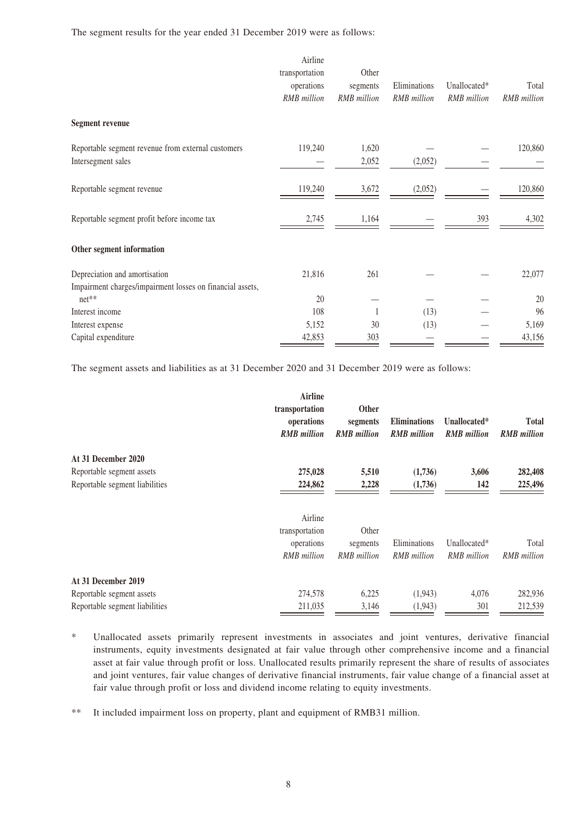The segment results for the year ended 31 December 2019 were as follows:

|                                                                                            | Airline<br>transportation<br>operations<br><b>RMB</b> million | Other<br>segments<br><b>RMB</b> million | Eliminations<br><b>RMB</b> million | Unallocated*<br><b>RMB</b> million | Total<br><b>RMB</b> million |
|--------------------------------------------------------------------------------------------|---------------------------------------------------------------|-----------------------------------------|------------------------------------|------------------------------------|-----------------------------|
| <b>Segment revenue</b>                                                                     |                                                               |                                         |                                    |                                    |                             |
| Reportable segment revenue from external customers<br>Intersegment sales                   | 119,240                                                       | 1,620<br>2,052                          | (2,052)                            |                                    | 120,860                     |
| Reportable segment revenue                                                                 | 119,240                                                       | 3,672                                   | (2,052)                            |                                    | 120,860                     |
| Reportable segment profit before income tax                                                | 2,745                                                         | 1,164                                   |                                    | 393                                | 4,302                       |
| Other segment information                                                                  |                                                               |                                         |                                    |                                    |                             |
| Depreciation and amortisation<br>Impairment charges/impairment losses on financial assets, | 21,816                                                        | 261                                     |                                    |                                    | 22,077                      |
| $net**$                                                                                    | 20                                                            |                                         |                                    |                                    | 20                          |
| Interest income                                                                            | 108                                                           |                                         | (13)                               |                                    | 96                          |
| Interest expense                                                                           | 5,152                                                         | 30                                      | (13)                               |                                    | 5,169                       |
| Capital expenditure                                                                        | 42,853                                                        | 303                                     |                                    |                                    | 43,156                      |

The segment assets and liabilities as at 31 December 2020 and 31 December 2019 were as follows:

|                                | Airline<br>transportation        | <b>Other</b>                   |                                           |                                    |                                    |
|--------------------------------|----------------------------------|--------------------------------|-------------------------------------------|------------------------------------|------------------------------------|
|                                | operations<br><b>RMB</b> million | segments<br><b>RMB</b> million | <b>Eliminations</b><br><b>RMB</b> million | Unallocated*<br><b>RMB</b> million | <b>Total</b><br><b>RMB</b> million |
| At 31 December 2020            |                                  |                                |                                           |                                    |                                    |
| Reportable segment assets      | 275,028                          | 5,510                          | (1,736)                                   | 3,606                              | 282,408                            |
| Reportable segment liabilities | 224,862                          | 2,228                          | (1,736)                                   | 142                                | 225,496                            |
|                                | Airline                          |                                |                                           |                                    |                                    |
|                                | transportation                   | Other                          |                                           |                                    |                                    |
|                                | operations                       | segments                       | Eliminations                              | Unallocated*                       | Total                              |
|                                | RMB million                      | <b>RMB</b> million             | <b>RMB</b> million                        | <b>RMB</b> million                 | <b>RMB</b> million                 |
| At 31 December 2019            |                                  |                                |                                           |                                    |                                    |
| Reportable segment assets      | 274,578                          | 6,225                          | (1,943)                                   | 4,076                              | 282,936                            |
| Reportable segment liabilities | 211,035                          | 3,146                          | (1,943)                                   | 301                                | 212,539                            |

<sup>\*</sup> Unallocated assets primarily represent investments in associates and joint ventures, derivative financial instruments, equity investments designated at fair value through other comprehensive income and a financial asset at fair value through profit or loss. Unallocated results primarily represent the share of results of associates and joint ventures, fair value changes of derivative financial instruments, fair value change of a financial asset at fair value through profit or loss and dividend income relating to equity investments.

<sup>\*\*</sup> It included impairment loss on property, plant and equipment of RMB31 million.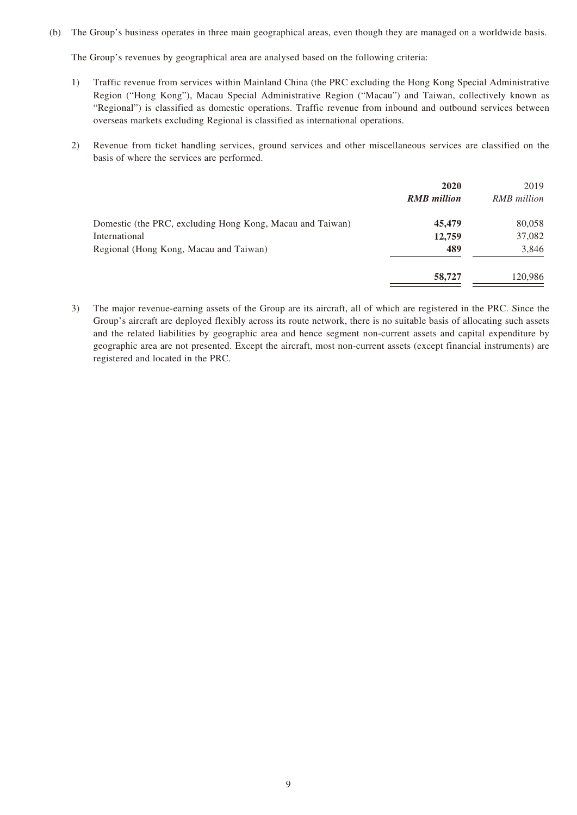(b) The Group's business operates in three main geographical areas, even though they are managed on a worldwide basis.

The Group's revenues by geographical area are analysed based on the following criteria:

- 1) Traffic revenue from services within Mainland China (the PRC excluding the Hong Kong Special Administrative Region ("Hong Kong"), Macau Special Administrative Region ("Macau") and Taiwan, collectively known as "Regional") is classified as domestic operations. Traffic revenue from inbound and outbound services between overseas markets excluding Regional is classified as international operations.
- 2) Revenue from ticket handling services, ground services and other miscellaneous services are classified on the basis of where the services are performed.

|                                                           | 2020<br><b>RMB</b> million | 2019<br><b>RMB</b> million |
|-----------------------------------------------------------|----------------------------|----------------------------|
| Domestic (the PRC, excluding Hong Kong, Macau and Taiwan) | 45,479                     | 80,058                     |
| International                                             | 12,759                     | 37,082                     |
| Regional (Hong Kong, Macau and Taiwan)                    | 489                        | 3,846                      |
|                                                           | 58,727                     | 120.986                    |

3) The major revenue-earning assets of the Group are its aircraft, all of which are registered in the PRC. Since the Group's aircraft are deployed flexibly across its route network, there is no suitable basis of allocating such assets and the related liabilities by geographic area and hence segment non-current assets and capital expenditure by geographic area are not presented. Except the aircraft, most non-current assets (except financial instruments) are registered and located in the PRC.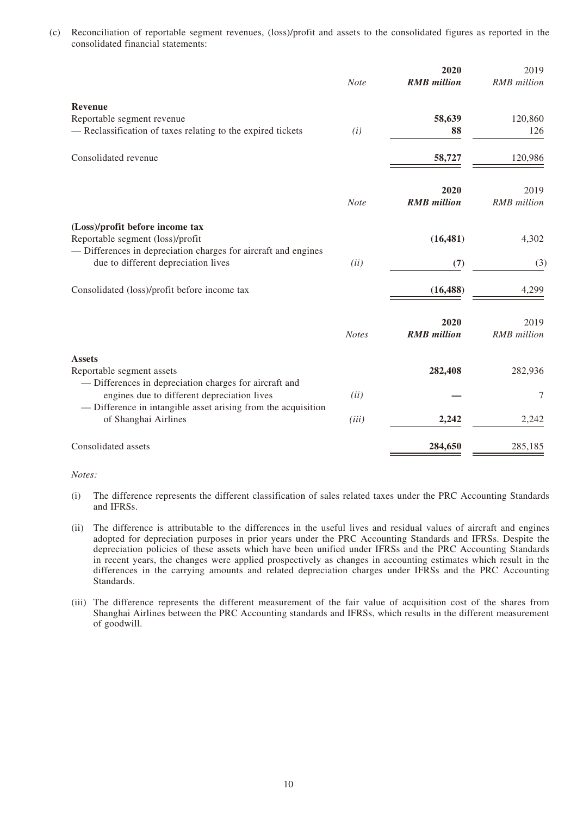(c) Reconciliation of reportable segment revenues, (loss)/profit and assets to the consolidated figures as reported in the consolidated financial statements:

|                                                                                                    |              | 2020               | 2019               |
|----------------------------------------------------------------------------------------------------|--------------|--------------------|--------------------|
|                                                                                                    | <b>Note</b>  | <b>RMB</b> million | <b>RMB</b> million |
| <b>Revenue</b>                                                                                     |              |                    |                    |
| Reportable segment revenue                                                                         |              | 58,639             | 120,860            |
| - Reclassification of taxes relating to the expired tickets                                        | (i)          | 88                 | 126                |
| Consolidated revenue                                                                               |              | 58,727             | 120,986            |
|                                                                                                    |              | 2020               | 2019               |
|                                                                                                    | <b>Note</b>  | <b>RMB</b> million | <b>RMB</b> million |
| (Loss)/profit before income tax                                                                    |              |                    |                    |
| Reportable segment (loss)/profit<br>- Differences in depreciation charges for aircraft and engines |              | (16, 481)          | 4,302              |
| due to different depreciation lives                                                                | (ii)         | (7)                | (3)                |
| Consolidated (loss)/profit before income tax                                                       |              | (16, 488)          | 4,299              |
|                                                                                                    |              | 2020               | 2019               |
|                                                                                                    | <b>Notes</b> | <b>RMB</b> million | <b>RMB</b> million |
| <b>Assets</b>                                                                                      |              |                    |                    |
| Reportable segment assets                                                                          |              | 282,408            | 282,936            |
| - Differences in depreciation charges for aircraft and                                             |              |                    |                    |
| engines due to different depreciation lives                                                        | (ii)         |                    | 7                  |
| — Difference in intangible asset arising from the acquisition<br>of Shanghai Airlines              | (iii)        | 2,242              | 2,242              |
|                                                                                                    |              |                    |                    |
| Consolidated assets                                                                                |              | 284,650            | 285,185            |

*Notes:* 

- (i) The difference represents the different classification of sales related taxes under the PRC Accounting Standards and IFRSs.
- (ii) The difference is attributable to the differences in the useful lives and residual values of aircraft and engines adopted for depreciation purposes in prior years under the PRC Accounting Standards and IFRSs. Despite the depreciation policies of these assets which have been unified under IFRSs and the PRC Accounting Standards in recent years, the changes were applied prospectively as changes in accounting estimates which result in the differences in the carrying amounts and related depreciation charges under IFRSs and the PRC Accounting Standards.
- (iii) The difference represents the different measurement of the fair value of acquisition cost of the shares from Shanghai Airlines between the PRC Accounting standards and IFRSs, which results in the different measurement of goodwill.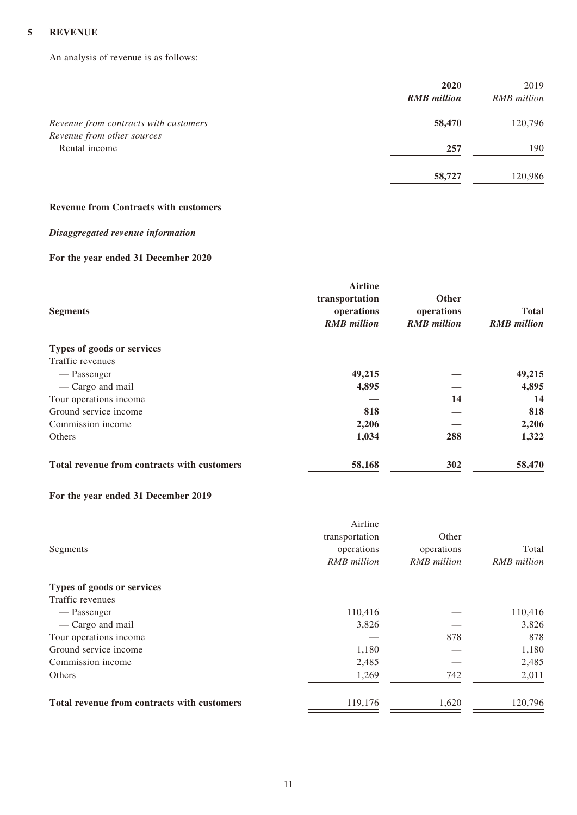## **5 REVENUE**

An analysis of revenue is as follows:

|                                                                     | 2020               | 2019               |
|---------------------------------------------------------------------|--------------------|--------------------|
|                                                                     | <b>RMB</b> million | <b>RMB</b> million |
| Revenue from contracts with customers<br>Revenue from other sources | 58,470             | 120,796            |
| Rental income                                                       | 257                | 190                |
|                                                                     | 58,727             | 120,986            |

### **Revenue from Contracts with customers**

## *Disaggregated revenue information*

## **For the year ended 31 December 2020**

| <b>Segments</b>                             | <b>Airline</b><br>transportation<br>operations<br><b>RMB</b> million | <b>Other</b><br>operations<br><b>RMB</b> million | <b>Total</b><br><b>RMB</b> million |
|---------------------------------------------|----------------------------------------------------------------------|--------------------------------------------------|------------------------------------|
| Types of goods or services                  |                                                                      |                                                  |                                    |
| Traffic revenues                            |                                                                      |                                                  |                                    |
| — Passenger                                 | 49,215                                                               |                                                  | 49,215                             |
| — Cargo and mail                            | 4,895                                                                |                                                  | 4,895                              |
| Tour operations income                      |                                                                      | 14                                               | 14                                 |
| Ground service income                       | 818                                                                  |                                                  | 818                                |
| Commission income                           | 2,206                                                                |                                                  | 2,206                              |
| Others                                      | 1,034                                                                | 288                                              | 1,322                              |
| Total revenue from contracts with customers | 58,168                                                               | 302                                              | 58,470                             |

## **For the year ended 31 December 2019**

|                                             | Airline<br>transportation | Other              |                    |
|---------------------------------------------|---------------------------|--------------------|--------------------|
| Segments                                    | operations                | operations         | Total              |
|                                             | <b>RMB</b> million        | <b>RMB</b> million | <b>RMB</b> million |
| Types of goods or services                  |                           |                    |                    |
| Traffic revenues                            |                           |                    |                    |
| — Passenger                                 | 110,416                   |                    | 110,416            |
| — Cargo and mail                            | 3,826                     |                    | 3,826              |
| Tour operations income                      |                           | 878                | 878                |
| Ground service income                       | 1,180                     |                    | 1,180              |
| Commission income                           | 2,485                     |                    | 2,485              |
| Others                                      | 1,269                     | 742                | 2,011              |
| Total revenue from contracts with customers | 119,176                   | 1,620              | 120,796            |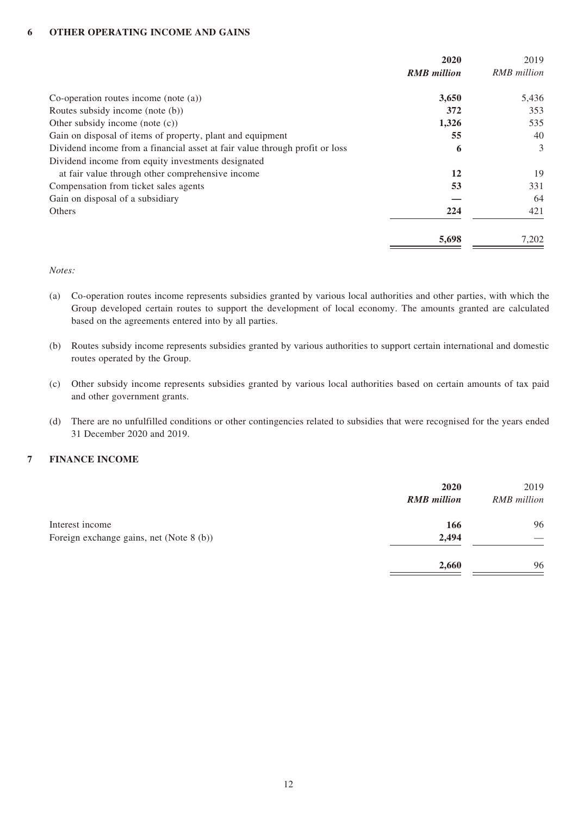### **6 OTHER OPERATING INCOME AND GAINS**

|                                                                             | 2020<br><b>RMB</b> million | 2019<br><b>RMB</b> million |
|-----------------------------------------------------------------------------|----------------------------|----------------------------|
| Co-operation routes income (note $(a)$ )                                    | 3,650                      | 5,436                      |
| Routes subsidy income (note (b))                                            | 372                        | 353                        |
| Other subsidy income (note $(c)$ )                                          | 1,326                      | 535                        |
| Gain on disposal of items of property, plant and equipment                  | 55                         | 40                         |
| Dividend income from a financial asset at fair value through profit or loss | 6                          | 3                          |
| Dividend income from equity investments designated                          |                            |                            |
| at fair value through other comprehensive income                            | 12                         | 19                         |
| Compensation from ticket sales agents                                       | 53                         | 331                        |
| Gain on disposal of a subsidiary                                            |                            | 64                         |
| Others                                                                      | 224                        | 421                        |
|                                                                             | 5,698                      | 7,202                      |

*Notes:*

- (a) Co-operation routes income represents subsidies granted by various local authorities and other parties, with which the Group developed certain routes to support the development of local economy. The amounts granted are calculated based on the agreements entered into by all parties.
- (b) Routes subsidy income represents subsidies granted by various authorities to support certain international and domestic routes operated by the Group.
- (c) Other subsidy income represents subsidies granted by various local authorities based on certain amounts of tax paid and other government grants.
- (d) There are no unfulfilled conditions or other contingencies related to subsidies that were recognised for the years ended 31 December 2020 and 2019.

## **7 FINANCE INCOME**

|                                          | 2020<br><b>RMB</b> million | 2019<br><b>RMB</b> million |
|------------------------------------------|----------------------------|----------------------------|
| Interest income                          | 166                        | 96                         |
| Foreign exchange gains, net (Note 8 (b)) | 2,494                      |                            |
|                                          | 2,660                      | 96                         |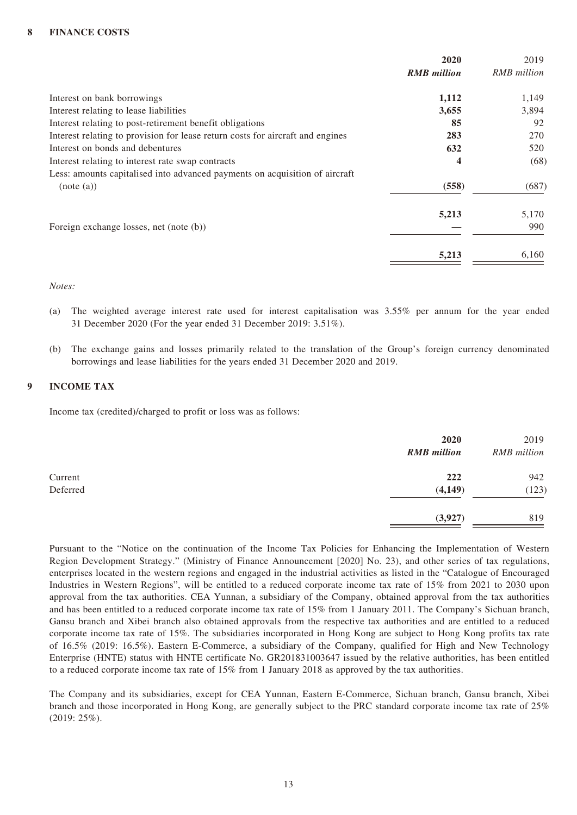## **8 FINANCE COSTS**

|                                                                                | 2020<br><b>RMB</b> million | 2019<br>RMB million |
|--------------------------------------------------------------------------------|----------------------------|---------------------|
| Interest on bank borrowings                                                    | 1,112                      | 1,149               |
| Interest relating to lease liabilities                                         | 3,655                      | 3,894               |
| Interest relating to post-retirement benefit obligations                       | 85                         | 92                  |
| Interest relating to provision for lease return costs for aircraft and engines | 283                        | 270                 |
| Interest on bonds and debentures                                               | 632                        | 520                 |
| Interest relating to interest rate swap contracts                              | 4                          | (68)                |
| Less: amounts capitalised into advanced payments on acquisition of aircraft    |                            |                     |
| (note (a))                                                                     | (558)                      | (687)               |
|                                                                                | 5,213                      | 5,170               |
| Foreign exchange losses, net (note (b))                                        |                            | 990                 |
|                                                                                | 5,213                      | 6,160               |

### *Notes:*

- (a) The weighted average interest rate used for interest capitalisation was 3.55% per annum for the year ended 31 December 2020 (For the year ended 31 December 2019: 3.51%).
- (b) The exchange gains and losses primarily related to the translation of the Group's foreign currency denominated borrowings and lease liabilities for the years ended 31 December 2020 and 2019.

## **9 INCOME TAX**

Income tax (credited)/charged to profit or loss was as follows:

|          | 2020<br><b>RMB</b> million | 2019<br>RMB million |
|----------|----------------------------|---------------------|
| Current  | 222                        | 942                 |
| Deferred | (4,149)                    | (123)               |
|          | (3,927)                    | 819                 |

Pursuant to the "Notice on the continuation of the Income Tax Policies for Enhancing the Implementation of Western Region Development Strategy." (Ministry of Finance Announcement [2020] No. 23), and other series of tax regulations, enterprises located in the western regions and engaged in the industrial activities as listed in the "Catalogue of Encouraged Industries in Western Regions", will be entitled to a reduced corporate income tax rate of 15% from 2021 to 2030 upon approval from the tax authorities. CEA Yunnan, a subsidiary of the Company, obtained approval from the tax authorities and has been entitled to a reduced corporate income tax rate of 15% from 1 January 2011. The Company's Sichuan branch, Gansu branch and Xibei branch also obtained approvals from the respective tax authorities and are entitled to a reduced corporate income tax rate of 15%. The subsidiaries incorporated in Hong Kong are subject to Hong Kong profits tax rate of 16.5% (2019: 16.5%). Eastern E-Commerce, a subsidiary of the Company, qualified for High and New Technology Enterprise (HNTE) status with HNTE certificate No. GR201831003647 issued by the relative authorities, has been entitled to a reduced corporate income tax rate of 15% from 1 January 2018 as approved by the tax authorities.

The Company and its subsidiaries, except for CEA Yunnan, Eastern E-Commerce, Sichuan branch, Gansu branch, Xibei branch and those incorporated in Hong Kong, are generally subject to the PRC standard corporate income tax rate of 25% (2019: 25%).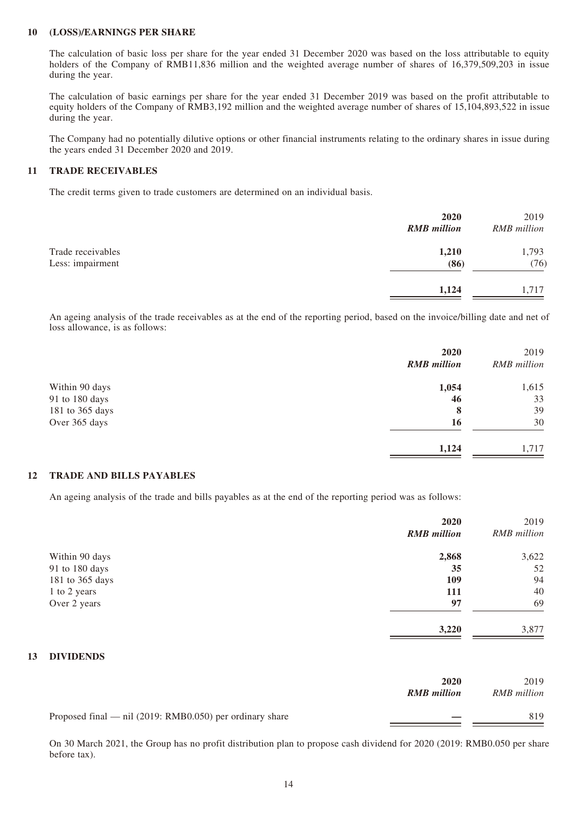### **10 (LOSS)/EARNINGS PER SHARE**

The calculation of basic loss per share for the year ended 31 December 2020 was based on the loss attributable to equity holders of the Company of RMB11,836 million and the weighted average number of shares of 16,379,509,203 in issue during the year.

The calculation of basic earnings per share for the year ended 31 December 2019 was based on the profit attributable to equity holders of the Company of RMB3,192 million and the weighted average number of shares of 15,104,893,522 in issue during the year.

The Company had no potentially dilutive options or other financial instruments relating to the ordinary shares in issue during the years ended 31 December 2020 and 2019.

### **11 TRADE RECEIVABLES**

The credit terms given to trade customers are determined on an individual basis.

|                                       | 2020<br><b>RMB</b> million | 2019<br><b>RMB</b> million |
|---------------------------------------|----------------------------|----------------------------|
| Trade receivables<br>Less: impairment | 1,210<br>(86)              | 1,793<br>(76)              |
|                                       | 1,124                      | 1,717                      |

An ageing analysis of the trade receivables as at the end of the reporting period, based on the invoice/billing date and net of loss allowance, is as follows:

|                 | 2020<br><b>RMB</b> million | 2019<br><b>RMB</b> million |
|-----------------|----------------------------|----------------------------|
| Within 90 days  | 1,054                      | 1,615                      |
| 91 to 180 days  | 46                         | 33                         |
| 181 to 365 days | 8                          | 39                         |
| Over 365 days   | 16                         | 30                         |
|                 | 1,124                      | 1,717                      |
|                 |                            |                            |

### **12 TRADE AND BILLS PAYABLES**

An ageing analysis of the trade and bills payables as at the end of the reporting period was as follows:

| 2020<br><b>RMB</b> million | 2019<br><b>RMB</b> million |
|----------------------------|----------------------------|
|                            | 3,622                      |
| 35                         | 52                         |
| 109                        | 94                         |
| 111                        | 40                         |
| 97                         | 69                         |
| 3,220                      | 3,877                      |
|                            | 2,868                      |

### **13 DIVIDENDS**

|                                                            | 2020<br><b>RMB</b> million | 2019<br>RMB million |
|------------------------------------------------------------|----------------------------|---------------------|
| Proposed final — nil $(2019: RMB0.050)$ per ordinary share |                            | 819                 |

On 30 March 2021, the Group has no profit distribution plan to propose cash dividend for 2020 (2019: RMB0.050 per share before tax).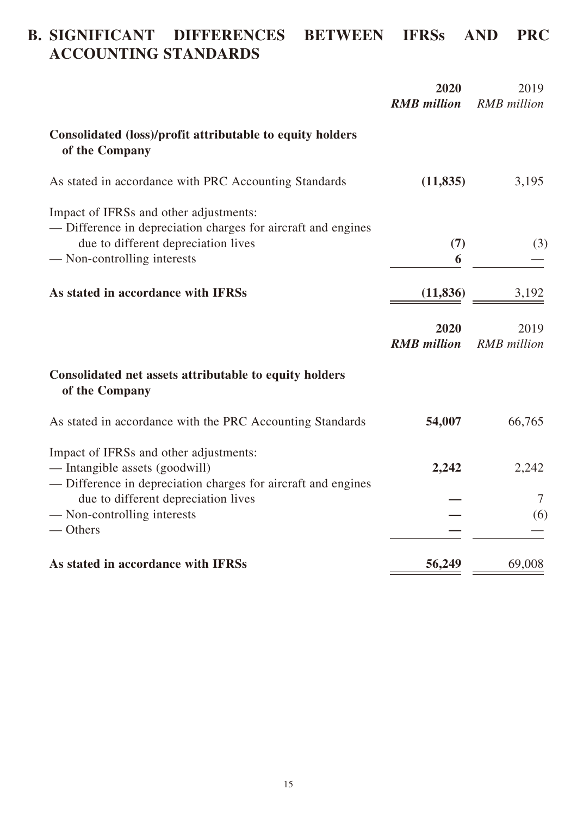# **B. SIGNIFICANT DIFFERENCES BETWEEN IFRSs AND PRC ACCOUNTING STANDARDS**

|                                                                                                                                                                               | 2020<br><b>RMB</b> million | 2019<br><b>RMB</b> million |
|-------------------------------------------------------------------------------------------------------------------------------------------------------------------------------|----------------------------|----------------------------|
| Consolidated (loss)/profit attributable to equity holders<br>of the Company                                                                                                   |                            |                            |
| As stated in accordance with PRC Accounting Standards                                                                                                                         | (11, 835)                  | 3,195                      |
| Impact of IFRSs and other adjustments:<br>— Difference in depreciation charges for aircraft and engines<br>due to different depreciation lives<br>— Non-controlling interests | (7)<br>6                   | (3)                        |
| As stated in accordance with IFRSs                                                                                                                                            |                            |                            |
|                                                                                                                                                                               | (11, 836)                  | 3,192                      |
|                                                                                                                                                                               | 2020<br><b>RMB</b> million | 2019<br><b>RMB</b> million |
| Consolidated net assets attributable to equity holders<br>of the Company                                                                                                      |                            |                            |
| As stated in accordance with the PRC Accounting Standards                                                                                                                     | 54,007                     | 66,765                     |
| Impact of IFRSs and other adjustments:<br>— Intangible assets (goodwill)<br>— Difference in depreciation charges for aircraft and engines                                     | 2,242                      | 2,242                      |
| due to different depreciation lives                                                                                                                                           |                            | 7                          |
| - Non-controlling interests<br>$-$ Others                                                                                                                                     |                            | (6)                        |
| As stated in accordance with IFRSs                                                                                                                                            | 56,249                     | 69,008                     |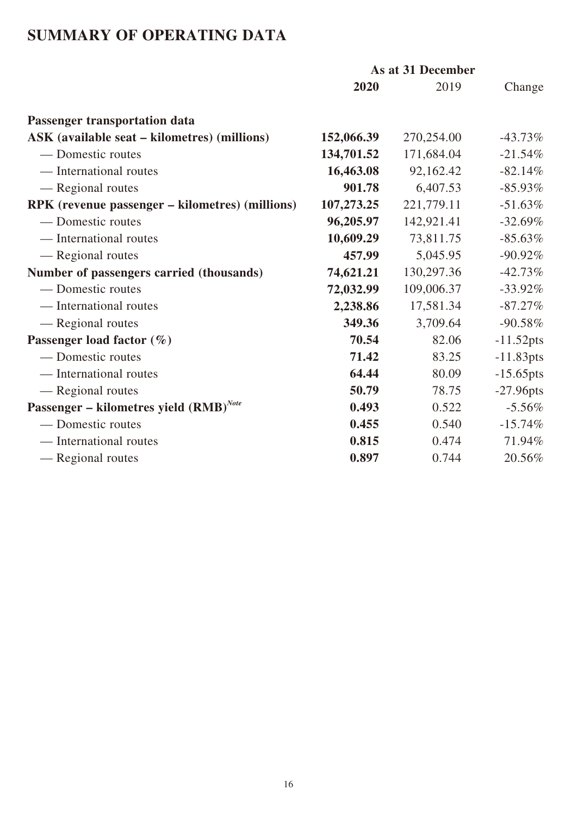# **SUMMARY OF OPERATING DATA**

|                                                        | As at 31 December |            |              |
|--------------------------------------------------------|-------------------|------------|--------------|
|                                                        | 2020              | 2019       | Change       |
| <b>Passenger transportation data</b>                   |                   |            |              |
| <b>ASK</b> (available seat – kilometres) (millions)    | 152,066.39        | 270,254.00 | $-43.73\%$   |
| — Domestic routes                                      | 134,701.52        | 171,684.04 | $-21.54%$    |
| — International routes                                 | 16,463.08         | 92,162.42  | $-82.14%$    |
| — Regional routes                                      | 901.78            | 6,407.53   | $-85.93\%$   |
| <b>RPK</b> (revenue passenger – kilometres) (millions) | 107,273.25        | 221,779.11 | $-51.63%$    |
| — Domestic routes                                      | 96,205.97         | 142,921.41 | $-32.69%$    |
| — International routes                                 | 10,609.29         | 73,811.75  | $-85.63\%$   |
| — Regional routes                                      | 457.99            | 5,045.95   | $-90.92%$    |
| Number of passengers carried (thousands)               | 74,621.21         | 130,297.36 | $-42.73%$    |
| — Domestic routes                                      | 72,032.99         | 109,006.37 | $-33.92\%$   |
| — International routes                                 | 2,238.86          | 17,581.34  | $-87.27\%$   |
| — Regional routes                                      | 349.36            | 3,709.64   | $-90.58%$    |
| Passenger load factor $(\%)$                           | 70.54             | 82.06      | $-11.52pts$  |
| — Domestic routes                                      | 71.42             | 83.25      | $-11.83pts$  |
| — International routes                                 | 64.44             | 80.09      | $-15.65$ pts |
| — Regional routes                                      | 50.79             | 78.75      | $-27.96$ pts |
| Passenger – kilometres yield $(RMB)^{Note}$            | 0.493             | 0.522      | $-5.56%$     |
| — Domestic routes                                      | 0.455             | 0.540      | $-15.74%$    |
| — International routes                                 | 0.815             | 0.474      | 71.94%       |
| — Regional routes                                      | 0.897             | 0.744      | 20.56%       |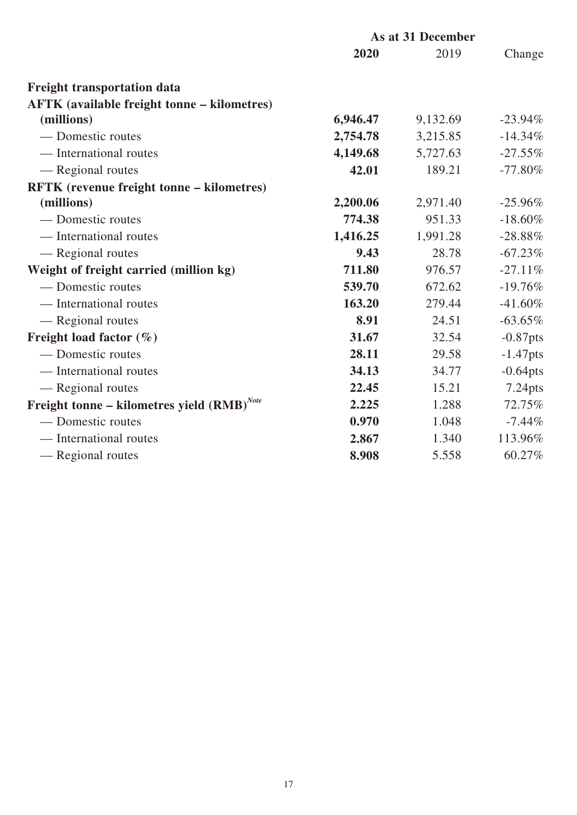|                                                    | As at 31 December |          |             |
|----------------------------------------------------|-------------------|----------|-------------|
|                                                    | 2020              | 2019     | Change      |
| <b>Freight transportation data</b>                 |                   |          |             |
| <b>AFTK</b> (available freight tonne – kilometres) |                   |          |             |
| (millions)                                         | 6,946.47          | 9,132.69 | $-23.94\%$  |
| — Domestic routes                                  | 2,754.78          | 3,215.85 | $-14.34\%$  |
| — International routes                             | 4,149.68          | 5,727.63 | $-27.55\%$  |
| — Regional routes                                  | 42.01             | 189.21   | $-77.80\%$  |
| RFTK (revenue freight tonne - kilometres)          |                   |          |             |
| (millions)                                         | 2,200.06          | 2,971.40 | $-25.96\%$  |
| — Domestic routes                                  | 774.38            | 951.33   | $-18.60\%$  |
| — International routes                             | 1,416.25          | 1,991.28 | $-28.88%$   |
| — Regional routes                                  | 9.43              | 28.78    | $-67.23%$   |
| Weight of freight carried (million kg)             | 711.80            | 976.57   | $-27.11%$   |
| — Domestic routes                                  | 539.70            | 672.62   | $-19.76%$   |
| — International routes                             | 163.20            | 279.44   | $-41.60\%$  |
| — Regional routes                                  | 8.91              | 24.51    | $-63.65\%$  |
| Freight load factor $(\%)$                         | 31.67             | 32.54    | $-0.87$ pts |
| — Domestic routes                                  | 28.11             | 29.58    | $-1.47$ pts |
| — International routes                             | 34.13             | 34.77    | $-0.64$ pts |
| - Regional routes                                  | 22.45             | 15.21    | 7.24pts     |
| Freight tonne – kilometres yield $(RMB)^{Note}$    | 2.225             | 1.288    | 72.75%      |
| — Domestic routes                                  | 0.970             | 1.048    | $-7.44%$    |
| - International routes                             | 2.867             | 1.340    | 113.96%     |
| - Regional routes                                  | 8.908             | 5.558    | 60.27%      |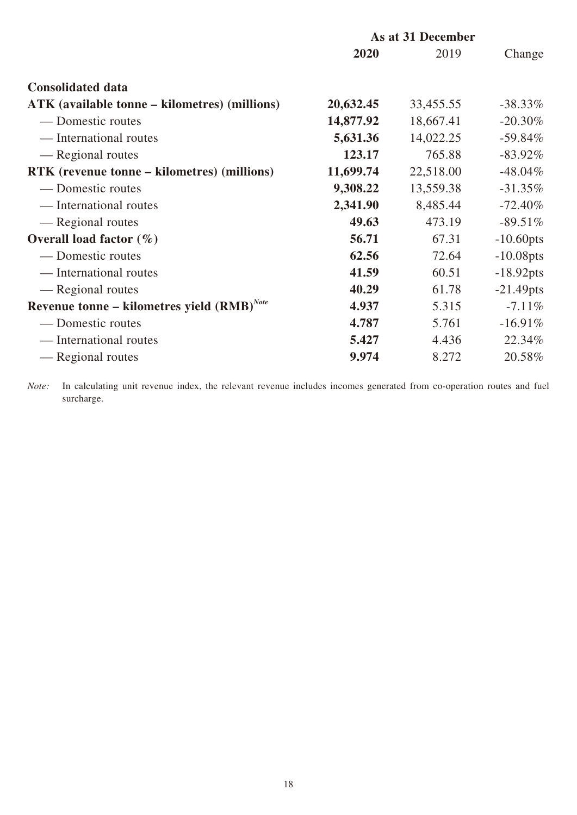|                                                 | As at 31 December |           |              |
|-------------------------------------------------|-------------------|-----------|--------------|
|                                                 | 2020              | 2019      | Change       |
| <b>Consolidated data</b>                        |                   |           |              |
| ATK (available tonne – kilometres) (millions)   | 20,632.45         | 33,455.55 | $-38.33\%$   |
| — Domestic routes                               | 14,877.92         | 18,667.41 | $-20.30\%$   |
| — International routes                          | 5,631.36          | 14,022.25 | $-59.84%$    |
| — Regional routes                               | 123.17            | 765.88    | $-83.92\%$   |
| RTK (revenue tonne – kilometres) (millions)     | 11,699.74         | 22,518.00 | $-48.04\%$   |
| — Domestic routes                               | 9,308.22          | 13,559.38 | $-31.35%$    |
| — International routes                          | 2,341.90          | 8,485.44  | $-72.40%$    |
| — Regional routes                               | 49.63             | 473.19    | $-89.51\%$   |
| Overall load factor $(\%)$                      | 56.71             | 67.31     | $-10.60$ pts |
| — Domestic routes                               | 62.56             | 72.64     | $-10.08$ pts |
| — International routes                          | 41.59             | 60.51     | $-18.92$ pts |
| — Regional routes                               | 40.29             | 61.78     | $-21.49$ pts |
| Revenue tonne – kilometres yield $(RMB)^{Note}$ | 4.937             | 5.315     | $-7.11\%$    |
| — Domestic routes                               | 4.787             | 5.761     | $-16.91%$    |
| — International routes                          | 5.427             | 4.436     | 22.34%       |
| — Regional routes                               | 9.974             | 8.272     | 20.58%       |

*Note:* In calculating unit revenue index, the relevant revenue includes incomes generated from co-operation routes and fuel surcharge.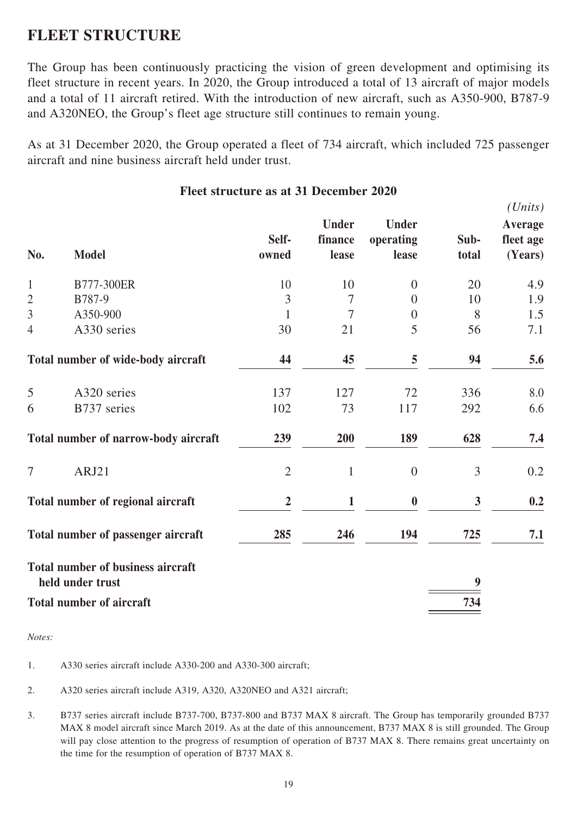# **FLEET STRUCTURE**

The Group has been continuously practicing the vision of green development and optimising its fleet structure in recent years. In 2020, the Group introduced a total of 13 aircraft of major models and a total of 11 aircraft retired. With the introduction of new aircraft, such as A350-900, B787-9 and A320NEO, the Group's fleet age structure still continues to remain young.

As at 31 December 2020, the Group operated a fleet of 734 aircraft, which included 725 passenger aircraft and nine business aircraft held under trust.

| No.            | <b>Model</b>                                                 | Self-<br>owned | <b>Under</b><br>finance<br>lease | <b>Under</b><br>operating<br>lease | Sub-<br>total | $\overline{U}$<br>Average<br>fleet age<br>(Years) |
|----------------|--------------------------------------------------------------|----------------|----------------------------------|------------------------------------|---------------|---------------------------------------------------|
| $\mathbf{1}$   | B777-300ER                                                   | 10             | 10                               | $\overline{0}$                     | 20            | 4.9                                               |
| $\overline{2}$ | B787-9                                                       | 3              | $\overline{7}$                   | $\overline{0}$                     | 10            | 1.9                                               |
| $\overline{3}$ | A350-900                                                     | 1              | $\overline{7}$                   | $\boldsymbol{0}$                   | 8             | 1.5                                               |
| $\overline{4}$ | A330 series                                                  | 30             | 21                               | 5                                  | 56            | 7.1                                               |
|                | Total number of wide-body aircraft                           | 44             | 45                               | 5                                  | 94            | 5.6                                               |
| 5              | A320 series                                                  | 137            | 127                              | 72                                 | 336           | 8.0                                               |
| 6              | B737 series                                                  | 102            | 73                               | 117                                | 292           | 6.6                                               |
|                | Total number of narrow-body aircraft                         | 239            | 200                              | 189                                | 628           | 7.4                                               |
| 7              | ARJ21                                                        | $\overline{2}$ | $\mathbf{1}$                     | $\overline{0}$                     | 3             | 0.2                                               |
|                | Total number of regional aircraft                            | $\overline{2}$ | $\mathbf{1}$                     | $\boldsymbol{0}$                   | $\mathbf{3}$  | 0.2                                               |
|                | Total number of passenger aircraft                           | 285            | 246                              | 194                                | 725           | 7.1                                               |
|                | <b>Total number of business aircraft</b><br>held under trust |                |                                  |                                    | 9             |                                                   |
|                | <b>Total number of aircraft</b>                              |                |                                  |                                    | 734           |                                                   |

## **Fleet structure as at 31 December 2020**

*(Units)*

*Notes:*

1. A330 series aircraft include A330-200 and A330-300 aircraft;

2. A320 series aircraft include A319, A320, A320NEO and A321 aircraft;

<sup>3.</sup> B737 series aircraft include B737-700, B737-800 and B737 MAX 8 aircraft. The Group has temporarily grounded B737 MAX 8 model aircraft since March 2019. As at the date of this announcement, B737 MAX 8 is still grounded. The Group will pay close attention to the progress of resumption of operation of B737 MAX 8. There remains great uncertainty on the time for the resumption of operation of B737 MAX 8.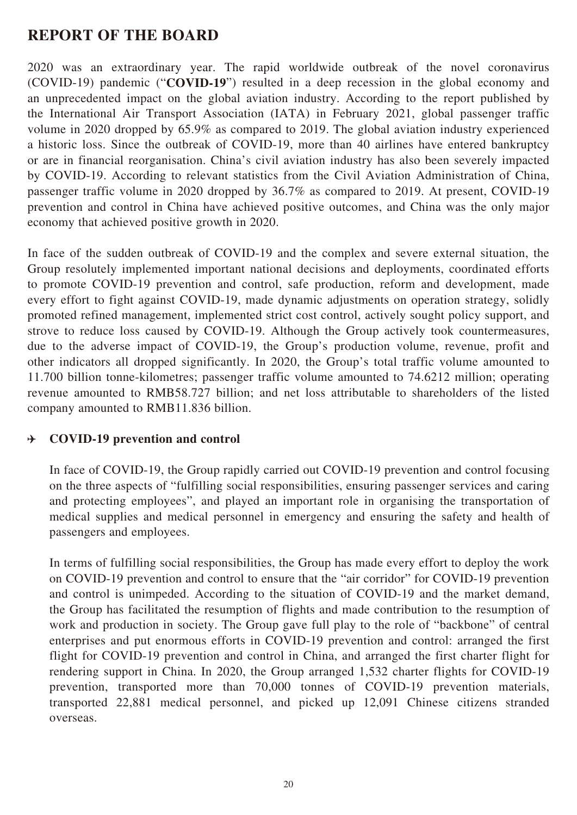# **REPORT OF THE BOARD**

2020 was an extraordinary year. The rapid worldwide outbreak of the novel coronavirus (COVID-19) pandemic ("**COVID-19**") resulted in a deep recession in the global economy and an unprecedented impact on the global aviation industry. According to the report published by the International Air Transport Association (IATA) in February 2021, global passenger traffic volume in 2020 dropped by 65.9% as compared to 2019. The global aviation industry experienced a historic loss. Since the outbreak of COVID-19, more than 40 airlines have entered bankruptcy or are in financial reorganisation. China's civil aviation industry has also been severely impacted by COVID-19. According to relevant statistics from the Civil Aviation Administration of China, passenger traffic volume in 2020 dropped by 36.7% as compared to 2019. At present, COVID-19 prevention and control in China have achieved positive outcomes, and China was the only major economy that achieved positive growth in 2020.

In face of the sudden outbreak of COVID-19 and the complex and severe external situation, the Group resolutely implemented important national decisions and deployments, coordinated efforts to promote COVID-19 prevention and control, safe production, reform and development, made every effort to fight against COVID-19, made dynamic adjustments on operation strategy, solidly promoted refined management, implemented strict cost control, actively sought policy support, and strove to reduce loss caused by COVID-19. Although the Group actively took countermeasures, due to the adverse impact of COVID-19, the Group's production volume, revenue, profit and other indicators all dropped significantly. In 2020, the Group's total traffic volume amounted to 11.700 billion tonne-kilometres; passenger traffic volume amounted to 74.6212 million; operating revenue amounted to RMB58.727 billion; and net loss attributable to shareholders of the listed company amounted to RMB11.836 billion.

#### **COVID-19 prevention and control**  $\rightarrow$

In face of COVID-19, the Group rapidly carried out COVID-19 prevention and control focusing on the three aspects of "fulfilling social responsibilities, ensuring passenger services and caring and protecting employees", and played an important role in organising the transportation of medical supplies and medical personnel in emergency and ensuring the safety and health of passengers and employees.

In terms of fulfilling social responsibilities, the Group has made every effort to deploy the work on COVID-19 prevention and control to ensure that the "air corridor" for COVID-19 prevention and control is unimpeded. According to the situation of COVID-19 and the market demand, the Group has facilitated the resumption of flights and made contribution to the resumption of work and production in society. The Group gave full play to the role of "backbone" of central enterprises and put enormous efforts in COVID-19 prevention and control: arranged the first flight for COVID-19 prevention and control in China, and arranged the first charter flight for rendering support in China. In 2020, the Group arranged 1,532 charter flights for COVID-19 prevention, transported more than 70,000 tonnes of COVID-19 prevention materials, transported 22,881 medical personnel, and picked up 12,091 Chinese citizens stranded overseas.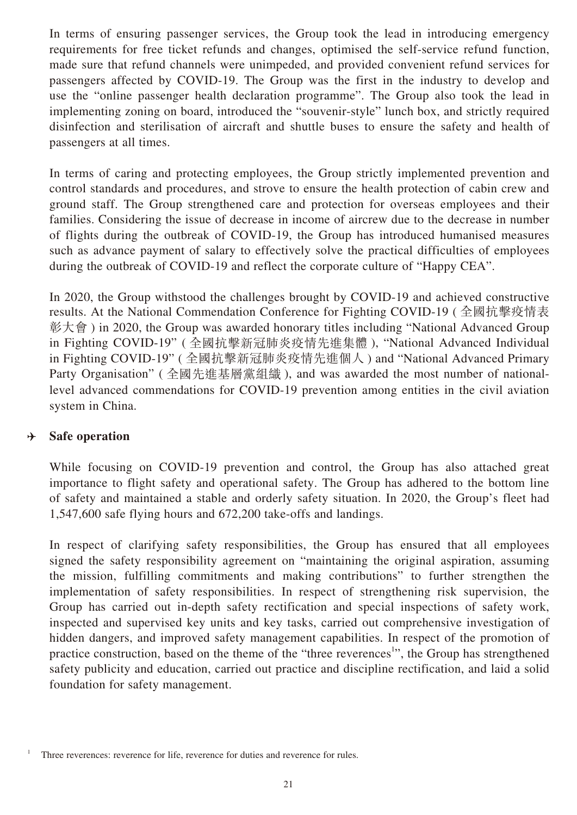In terms of ensuring passenger services, the Group took the lead in introducing emergency requirements for free ticket refunds and changes, optimised the self-service refund function, made sure that refund channels were unimpeded, and provided convenient refund services for passengers affected by COVID-19. The Group was the first in the industry to develop and use the "online passenger health declaration programme". The Group also took the lead in implementing zoning on board, introduced the "souvenir-style" lunch box, and strictly required disinfection and sterilisation of aircraft and shuttle buses to ensure the safety and health of passengers at all times.

In terms of caring and protecting employees, the Group strictly implemented prevention and control standards and procedures, and strove to ensure the health protection of cabin crew and ground staff. The Group strengthened care and protection for overseas employees and their families. Considering the issue of decrease in income of aircrew due to the decrease in number of flights during the outbreak of COVID-19, the Group has introduced humanised measures such as advance payment of salary to effectively solve the practical difficulties of employees during the outbreak of COVID-19 and reflect the corporate culture of "Happy CEA".

In 2020, the Group withstood the challenges brought by COVID-19 and achieved constructive results. At the National Commendation Conference for Fighting COVID-19 ( 全國抗擊疫情表 彰大會 ) in 2020, the Group was awarded honorary titles including "National Advanced Group in Fighting COVID-19" ( 全國抗擊新冠肺炎疫情先進集體 ), "National Advanced Individual in Fighting COVID-19" ( 全國抗擊新冠肺炎疫情先進個人 ) and "National Advanced Primary Party Organisation" ( 全國先進基層黨組織 ), and was awarded the most number of nationallevel advanced commendations for COVID-19 prevention among entities in the civil aviation system in China.

#### **Safe operation** D

While focusing on COVID-19 prevention and control, the Group has also attached great importance to flight safety and operational safety. The Group has adhered to the bottom line of safety and maintained a stable and orderly safety situation. In 2020, the Group's fleet had 1,547,600 safe flying hours and 672,200 take-offs and landings.

In respect of clarifying safety responsibilities, the Group has ensured that all employees signed the safety responsibility agreement on "maintaining the original aspiration, assuming the mission, fulfilling commitments and making contributions" to further strengthen the implementation of safety responsibilities. In respect of strengthening risk supervision, the Group has carried out in-depth safety rectification and special inspections of safety work, inspected and supervised key units and key tasks, carried out comprehensive investigation of hidden dangers, and improved safety management capabilities. In respect of the promotion of practice construction, based on the theme of the "three reverences<sup>1</sup>", the Group has strengthened safety publicity and education, carried out practice and discipline rectification, and laid a solid foundation for safety management.

Three reverences: reverence for life, reverence for duties and reverence for rules.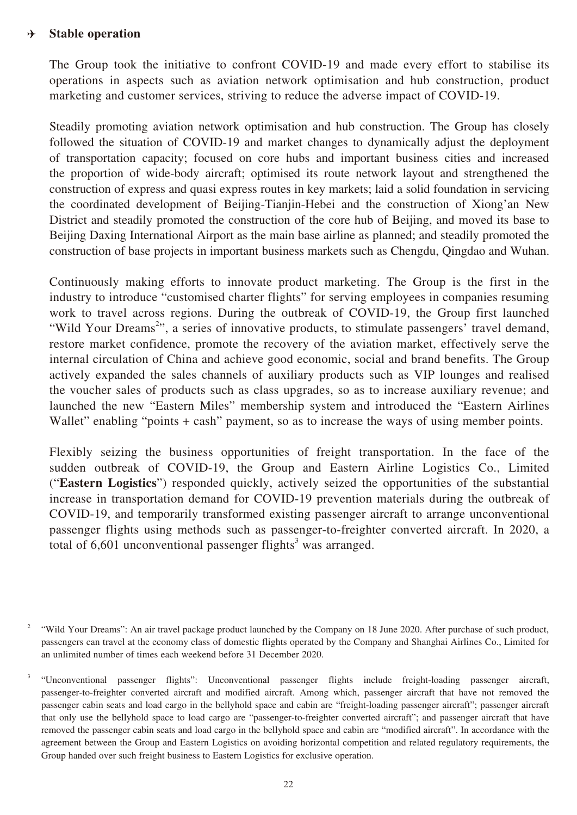#### **Stable operation**  $\rightarrow$

The Group took the initiative to confront COVID-19 and made every effort to stabilise its operations in aspects such as aviation network optimisation and hub construction, product marketing and customer services, striving to reduce the adverse impact of COVID-19.

Steadily promoting aviation network optimisation and hub construction. The Group has closely followed the situation of COVID-19 and market changes to dynamically adjust the deployment of transportation capacity; focused on core hubs and important business cities and increased the proportion of wide-body aircraft; optimised its route network layout and strengthened the construction of express and quasi express routes in key markets; laid a solid foundation in servicing the coordinated development of Beijing-Tianjin-Hebei and the construction of Xiong'an New District and steadily promoted the construction of the core hub of Beijing, and moved its base to Beijing Daxing International Airport as the main base airline as planned; and steadily promoted the construction of base projects in important business markets such as Chengdu, Qingdao and Wuhan.

Continuously making efforts to innovate product marketing. The Group is the first in the industry to introduce "customised charter flights" for serving employees in companies resuming work to travel across regions. During the outbreak of COVID-19, the Group first launched "Wild Your Dreams<sup>2</sup>", a series of innovative products, to stimulate passengers' travel demand, restore market confidence, promote the recovery of the aviation market, effectively serve the internal circulation of China and achieve good economic, social and brand benefits. The Group actively expanded the sales channels of auxiliary products such as VIP lounges and realised the voucher sales of products such as class upgrades, so as to increase auxiliary revenue; and launched the new "Eastern Miles" membership system and introduced the "Eastern Airlines Wallet" enabling "points + cash" payment, so as to increase the ways of using member points.

Flexibly seizing the business opportunities of freight transportation. In the face of the sudden outbreak of COVID-19, the Group and Eastern Airline Logistics Co., Limited ("**Eastern Logistics**") responded quickly, actively seized the opportunities of the substantial increase in transportation demand for COVID-19 prevention materials during the outbreak of COVID-19, and temporarily transformed existing passenger aircraft to arrange unconventional passenger flights using methods such as passenger-to-freighter converted aircraft. In 2020, a total of  $6,601$  unconventional passenger flights<sup>3</sup> was arranged.

<sup>&</sup>lt;sup>2</sup> "Wild Your Dreams": An air travel package product launched by the Company on 18 June 2020. After purchase of such product, passengers can travel at the economy class of domestic flights operated by the Company and Shanghai Airlines Co., Limited for an unlimited number of times each weekend before 31 December 2020.

<sup>3</sup> "Unconventional passenger flights": Unconventional passenger flights include freight-loading passenger aircraft, passenger-to-freighter converted aircraft and modified aircraft. Among which, passenger aircraft that have not removed the passenger cabin seats and load cargo in the bellyhold space and cabin are "freight-loading passenger aircraft"; passenger aircraft that only use the bellyhold space to load cargo are "passenger-to-freighter converted aircraft"; and passenger aircraft that have removed the passenger cabin seats and load cargo in the bellyhold space and cabin are "modified aircraft". In accordance with the agreement between the Group and Eastern Logistics on avoiding horizontal competition and related regulatory requirements, the Group handed over such freight business to Eastern Logistics for exclusive operation.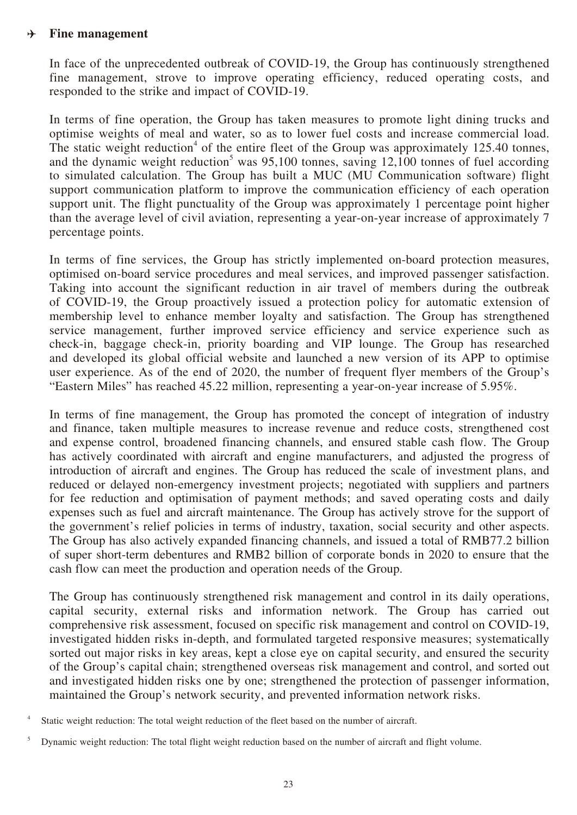#### **Fine management**  $\rightarrow$

In face of the unprecedented outbreak of COVID-19, the Group has continuously strengthened fine management, strove to improve operating efficiency, reduced operating costs, and responded to the strike and impact of COVID-19.

In terms of fine operation, the Group has taken measures to promote light dining trucks and optimise weights of meal and water, so as to lower fuel costs and increase commercial load. The static weight reduction<sup>4</sup> of the entire fleet of the Group was approximately  $125.40$  tonnes, and the dynamic weight reduction<sup>5</sup> was  $95,100$  tonnes, saving 12,100 tonnes of fuel according to simulated calculation. The Group has built a MUC (MU Communication software) flight support communication platform to improve the communication efficiency of each operation support unit. The flight punctuality of the Group was approximately 1 percentage point higher than the average level of civil aviation, representing a year-on-year increase of approximately 7 percentage points.

In terms of fine services, the Group has strictly implemented on-board protection measures, optimised on-board service procedures and meal services, and improved passenger satisfaction. Taking into account the significant reduction in air travel of members during the outbreak of COVID-19, the Group proactively issued a protection policy for automatic extension of membership level to enhance member loyalty and satisfaction. The Group has strengthened service management, further improved service efficiency and service experience such as check-in, baggage check-in, priority boarding and VIP lounge. The Group has researched and developed its global official website and launched a new version of its APP to optimise user experience. As of the end of 2020, the number of frequent flyer members of the Group's "Eastern Miles" has reached 45.22 million, representing a year-on-year increase of 5.95%.

In terms of fine management, the Group has promoted the concept of integration of industry and finance, taken multiple measures to increase revenue and reduce costs, strengthened cost and expense control, broadened financing channels, and ensured stable cash flow. The Group has actively coordinated with aircraft and engine manufacturers, and adjusted the progress of introduction of aircraft and engines. The Group has reduced the scale of investment plans, and reduced or delayed non-emergency investment projects; negotiated with suppliers and partners for fee reduction and optimisation of payment methods; and saved operating costs and daily expenses such as fuel and aircraft maintenance. The Group has actively strove for the support of the government's relief policies in terms of industry, taxation, social security and other aspects. The Group has also actively expanded financing channels, and issued a total of RMB77.2 billion of super short-term debentures and RMB2 billion of corporate bonds in 2020 to ensure that the cash flow can meet the production and operation needs of the Group.

The Group has continuously strengthened risk management and control in its daily operations, capital security, external risks and information network. The Group has carried out comprehensive risk assessment, focused on specific risk management and control on COVID-19, investigated hidden risks in-depth, and formulated targeted responsive measures; systematically sorted out major risks in key areas, kept a close eye on capital security, and ensured the security of the Group's capital chain; strengthened overseas risk management and control, and sorted out and investigated hidden risks one by one; strengthened the protection of passenger information, maintained the Group's network security, and prevented information network risks.

Static weight reduction: The total weight reduction of the fleet based on the number of aircraft.

<sup>&</sup>lt;sup>5</sup> Dynamic weight reduction: The total flight weight reduction based on the number of aircraft and flight volume.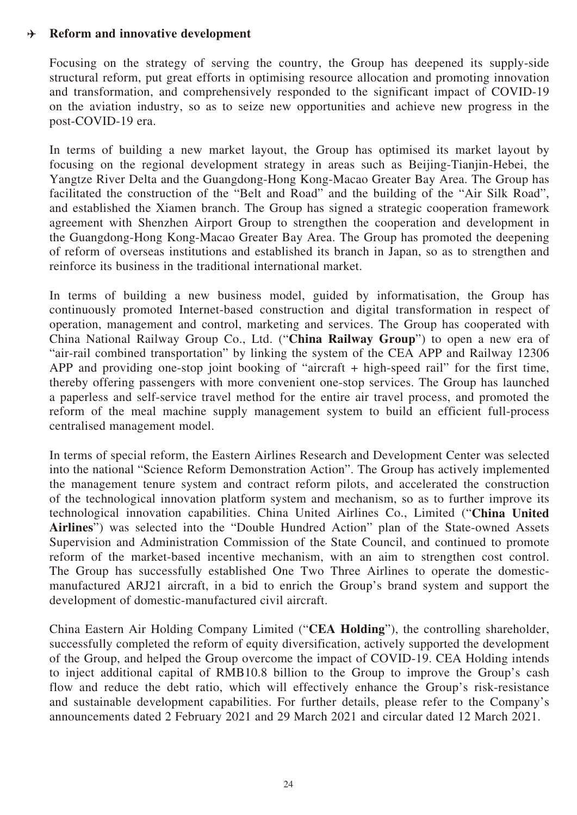#### **Reform and innovative development**  $\rightarrow$

Focusing on the strategy of serving the country, the Group has deepened its supply-side structural reform, put great efforts in optimising resource allocation and promoting innovation and transformation, and comprehensively responded to the significant impact of COVID-19 on the aviation industry, so as to seize new opportunities and achieve new progress in the post-COVID-19 era.

In terms of building a new market layout, the Group has optimised its market layout by focusing on the regional development strategy in areas such as Beijing-Tianjin-Hebei, the Yangtze River Delta and the Guangdong-Hong Kong-Macao Greater Bay Area. The Group has facilitated the construction of the "Belt and Road" and the building of the "Air Silk Road", and established the Xiamen branch. The Group has signed a strategic cooperation framework agreement with Shenzhen Airport Group to strengthen the cooperation and development in the Guangdong-Hong Kong-Macao Greater Bay Area. The Group has promoted the deepening of reform of overseas institutions and established its branch in Japan, so as to strengthen and reinforce its business in the traditional international market.

In terms of building a new business model, guided by informatisation, the Group has continuously promoted Internet-based construction and digital transformation in respect of operation, management and control, marketing and services. The Group has cooperated with China National Railway Group Co., Ltd. ("**China Railway Group**") to open a new era of "air-rail combined transportation" by linking the system of the CEA APP and Railway 12306 APP and providing one-stop joint booking of "aircraft + high-speed rail" for the first time, thereby offering passengers with more convenient one-stop services. The Group has launched a paperless and self-service travel method for the entire air travel process, and promoted the reform of the meal machine supply management system to build an efficient full-process centralised management model.

In terms of special reform, the Eastern Airlines Research and Development Center was selected into the national "Science Reform Demonstration Action". The Group has actively implemented the management tenure system and contract reform pilots, and accelerated the construction of the technological innovation platform system and mechanism, so as to further improve its technological innovation capabilities. China United Airlines Co., Limited ("**China United Airlines**") was selected into the "Double Hundred Action" plan of the State-owned Assets Supervision and Administration Commission of the State Council, and continued to promote reform of the market-based incentive mechanism, with an aim to strengthen cost control. The Group has successfully established One Two Three Airlines to operate the domesticmanufactured ARJ21 aircraft, in a bid to enrich the Group's brand system and support the development of domestic-manufactured civil aircraft.

China Eastern Air Holding Company Limited ("**CEA Holding**"), the controlling shareholder, successfully completed the reform of equity diversification, actively supported the development of the Group, and helped the Group overcome the impact of COVID-19. CEA Holding intends to inject additional capital of RMB10.8 billion to the Group to improve the Group's cash flow and reduce the debt ratio, which will effectively enhance the Group's risk-resistance and sustainable development capabilities. For further details, please refer to the Company's announcements dated 2 February 2021 and 29 March 2021 and circular dated 12 March 2021.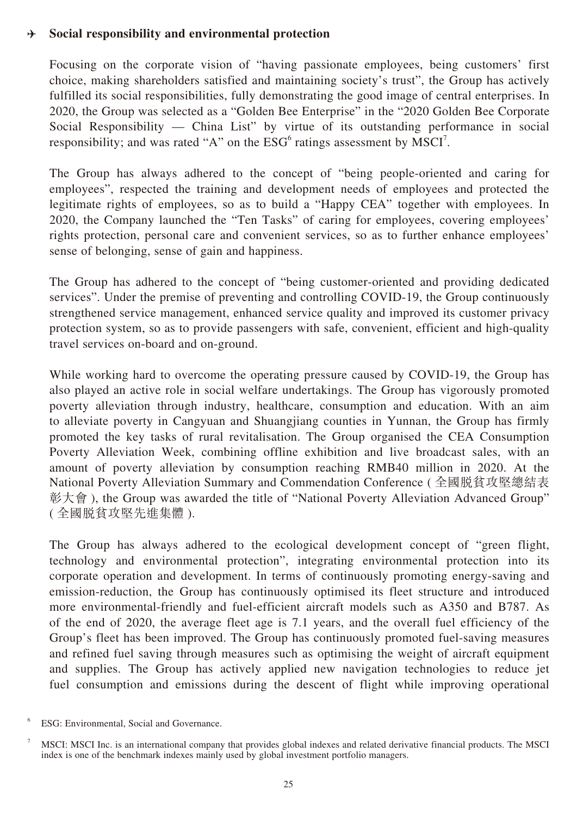### **Social responsibility and environmental protection**  $\rightarrow$

Focusing on the corporate vision of "having passionate employees, being customers' first choice, making shareholders satisfied and maintaining society's trust", the Group has actively fulfilled its social responsibilities, fully demonstrating the good image of central enterprises. In 2020, the Group was selected as a "Golden Bee Enterprise" in the "2020 Golden Bee Corporate Social Responsibility — China List" by virtue of its outstanding performance in social responsibility; and was rated "A" on the  $ESG<sup>6</sup>$  ratings assessment by MSCI<sup>7</sup>.

The Group has always adhered to the concept of "being people-oriented and caring for employees", respected the training and development needs of employees and protected the legitimate rights of employees, so as to build a "Happy CEA" together with employees. In 2020, the Company launched the "Ten Tasks" of caring for employees, covering employees' rights protection, personal care and convenient services, so as to further enhance employees' sense of belonging, sense of gain and happiness.

The Group has adhered to the concept of "being customer-oriented and providing dedicated services". Under the premise of preventing and controlling COVID-19, the Group continuously strengthened service management, enhanced service quality and improved its customer privacy protection system, so as to provide passengers with safe, convenient, efficient and high-quality travel services on-board and on-ground.

While working hard to overcome the operating pressure caused by COVID-19, the Group has also played an active role in social welfare undertakings. The Group has vigorously promoted poverty alleviation through industry, healthcare, consumption and education. With an aim to alleviate poverty in Cangyuan and Shuangjiang counties in Yunnan, the Group has firmly promoted the key tasks of rural revitalisation. The Group organised the CEA Consumption Poverty Alleviation Week, combining offline exhibition and live broadcast sales, with an amount of poverty alleviation by consumption reaching RMB40 million in 2020. At the National Poverty Alleviation Summary and Commendation Conference ( 全國脫貧攻堅總結表 彰大會 ), the Group was awarded the title of "National Poverty Alleviation Advanced Group" ( 全國脫貧攻堅先進集體 ).

The Group has always adhered to the ecological development concept of "green flight, technology and environmental protection", integrating environmental protection into its corporate operation and development. In terms of continuously promoting energy-saving and emission-reduction, the Group has continuously optimised its fleet structure and introduced more environmental-friendly and fuel-efficient aircraft models such as A350 and B787. As of the end of 2020, the average fleet age is 7.1 years, and the overall fuel efficiency of the Group's fleet has been improved. The Group has continuously promoted fuel-saving measures and refined fuel saving through measures such as optimising the weight of aircraft equipment and supplies. The Group has actively applied new navigation technologies to reduce jet fuel consumption and emissions during the descent of flight while improving operational

ESG: Environmental, Social and Governance.

<sup>7</sup> MSCI: MSCI Inc. is an international company that provides global indexes and related derivative financial products. The MSCI index is one of the benchmark indexes mainly used by global investment portfolio managers.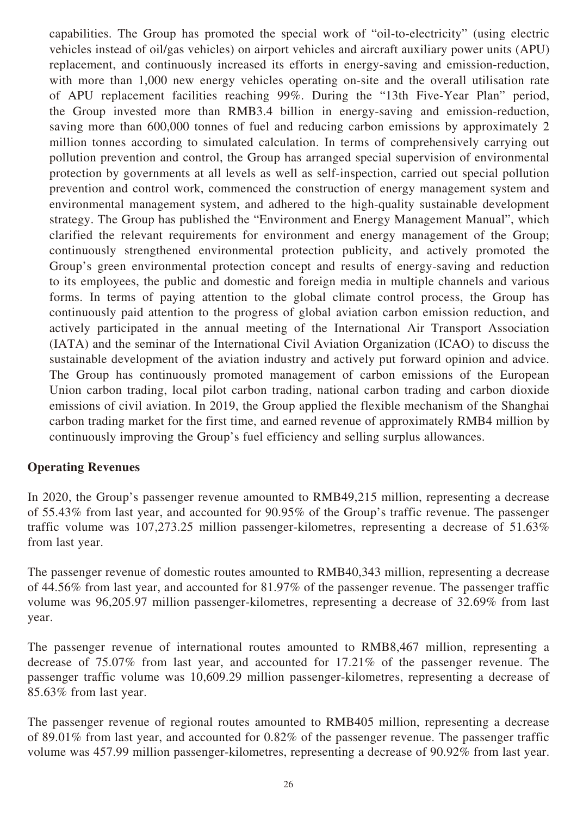capabilities. The Group has promoted the special work of "oil-to-electricity" (using electric vehicles instead of oil/gas vehicles) on airport vehicles and aircraft auxiliary power units (APU) replacement, and continuously increased its efforts in energy-saving and emission-reduction, with more than 1,000 new energy vehicles operating on-site and the overall utilisation rate of APU replacement facilities reaching 99%. During the "13th Five-Year Plan" period, the Group invested more than RMB3.4 billion in energy-saving and emission-reduction, saving more than 600,000 tonnes of fuel and reducing carbon emissions by approximately 2 million tonnes according to simulated calculation. In terms of comprehensively carrying out pollution prevention and control, the Group has arranged special supervision of environmental protection by governments at all levels as well as self-inspection, carried out special pollution prevention and control work, commenced the construction of energy management system and environmental management system, and adhered to the high-quality sustainable development strategy. The Group has published the "Environment and Energy Management Manual", which clarified the relevant requirements for environment and energy management of the Group; continuously strengthened environmental protection publicity, and actively promoted the Group's green environmental protection concept and results of energy-saving and reduction to its employees, the public and domestic and foreign media in multiple channels and various forms. In terms of paying attention to the global climate control process, the Group has continuously paid attention to the progress of global aviation carbon emission reduction, and actively participated in the annual meeting of the International Air Transport Association (IATA) and the seminar of the International Civil Aviation Organization (ICAO) to discuss the sustainable development of the aviation industry and actively put forward opinion and advice. The Group has continuously promoted management of carbon emissions of the European Union carbon trading, local pilot carbon trading, national carbon trading and carbon dioxide emissions of civil aviation. In 2019, the Group applied the flexible mechanism of the Shanghai carbon trading market for the first time, and earned revenue of approximately RMB4 million by continuously improving the Group's fuel efficiency and selling surplus allowances.

## **Operating Revenues**

In 2020, the Group's passenger revenue amounted to RMB49,215 million, representing a decrease of 55.43% from last year, and accounted for 90.95% of the Group's traffic revenue. The passenger traffic volume was 107,273.25 million passenger-kilometres, representing a decrease of 51.63% from last year.

The passenger revenue of domestic routes amounted to RMB40,343 million, representing a decrease of 44.56% from last year, and accounted for 81.97% of the passenger revenue. The passenger traffic volume was 96,205.97 million passenger-kilometres, representing a decrease of 32.69% from last year.

The passenger revenue of international routes amounted to RMB8,467 million, representing a decrease of 75.07% from last year, and accounted for 17.21% of the passenger revenue. The passenger traffic volume was 10,609.29 million passenger-kilometres, representing a decrease of 85.63% from last year.

The passenger revenue of regional routes amounted to RMB405 million, representing a decrease of 89.01% from last year, and accounted for 0.82% of the passenger revenue. The passenger traffic volume was 457.99 million passenger-kilometres, representing a decrease of 90.92% from last year.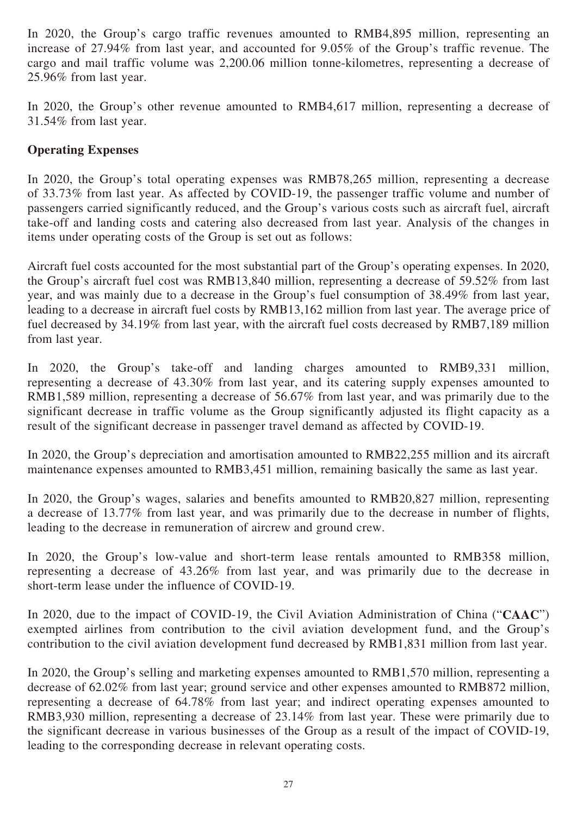In 2020, the Group's cargo traffic revenues amounted to RMB4,895 million, representing an increase of 27.94% from last year, and accounted for 9.05% of the Group's traffic revenue. The cargo and mail traffic volume was 2,200.06 million tonne-kilometres, representing a decrease of 25.96% from last year.

In 2020, the Group's other revenue amounted to RMB4,617 million, representing a decrease of 31.54% from last year.

# **Operating Expenses**

In 2020, the Group's total operating expenses was RMB78,265 million, representing a decrease of 33.73% from last year. As affected by COVID-19, the passenger traffic volume and number of passengers carried significantly reduced, and the Group's various costs such as aircraft fuel, aircraft take-off and landing costs and catering also decreased from last year. Analysis of the changes in items under operating costs of the Group is set out as follows:

Aircraft fuel costs accounted for the most substantial part of the Group's operating expenses. In 2020, the Group's aircraft fuel cost was RMB13,840 million, representing a decrease of 59.52% from last year, and was mainly due to a decrease in the Group's fuel consumption of 38.49% from last year, leading to a decrease in aircraft fuel costs by RMB13,162 million from last year. The average price of fuel decreased by 34.19% from last year, with the aircraft fuel costs decreased by RMB7,189 million from last year.

In 2020, the Group's take-off and landing charges amounted to RMB9,331 million, representing a decrease of 43.30% from last year, and its catering supply expenses amounted to RMB1,589 million, representing a decrease of 56.67% from last year, and was primarily due to the significant decrease in traffic volume as the Group significantly adjusted its flight capacity as a result of the significant decrease in passenger travel demand as affected by COVID-19.

In 2020, the Group's depreciation and amortisation amounted to RMB22,255 million and its aircraft maintenance expenses amounted to RMB3,451 million, remaining basically the same as last year.

In 2020, the Group's wages, salaries and benefits amounted to RMB20,827 million, representing a decrease of 13.77% from last year, and was primarily due to the decrease in number of flights, leading to the decrease in remuneration of aircrew and ground crew.

In 2020, the Group's low-value and short-term lease rentals amounted to RMB358 million, representing a decrease of 43.26% from last year, and was primarily due to the decrease in short-term lease under the influence of COVID-19.

In 2020, due to the impact of COVID-19, the Civil Aviation Administration of China ("**CAAC**") exempted airlines from contribution to the civil aviation development fund, and the Group's contribution to the civil aviation development fund decreased by RMB1,831 million from last year.

In 2020, the Group's selling and marketing expenses amounted to RMB1,570 million, representing a decrease of 62.02% from last year; ground service and other expenses amounted to RMB872 million, representing a decrease of 64.78% from last year; and indirect operating expenses amounted to RMB3,930 million, representing a decrease of 23.14% from last year. These were primarily due to the significant decrease in various businesses of the Group as a result of the impact of COVID-19, leading to the corresponding decrease in relevant operating costs.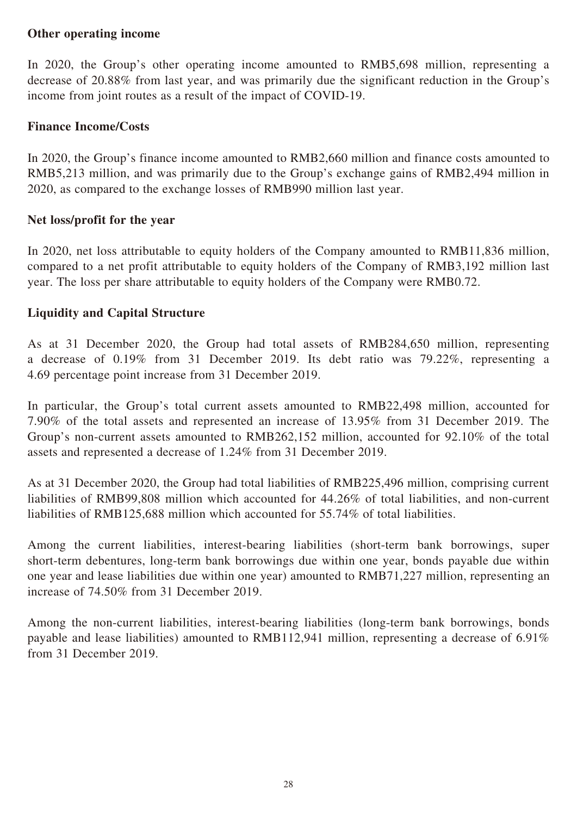## **Other operating income**

In 2020, the Group's other operating income amounted to RMB5,698 million, representing a decrease of 20.88% from last year, and was primarily due the significant reduction in the Group's income from joint routes as a result of the impact of COVID-19.

## **Finance Income/Costs**

In 2020, the Group's finance income amounted to RMB2,660 million and finance costs amounted to RMB5,213 million, and was primarily due to the Group's exchange gains of RMB2,494 million in 2020, as compared to the exchange losses of RMB990 million last year.

## **Net loss/profit for the year**

In 2020, net loss attributable to equity holders of the Company amounted to RMB11,836 million, compared to a net profit attributable to equity holders of the Company of RMB3,192 million last year. The loss per share attributable to equity holders of the Company were RMB0.72.

# **Liquidity and Capital Structure**

As at 31 December 2020, the Group had total assets of RMB284,650 million, representing a decrease of 0.19% from 31 December 2019. Its debt ratio was 79.22%, representing a 4.69 percentage point increase from 31 December 2019.

In particular, the Group's total current assets amounted to RMB22,498 million, accounted for 7.90% of the total assets and represented an increase of 13.95% from 31 December 2019. The Group's non-current assets amounted to RMB262,152 million, accounted for 92.10% of the total assets and represented a decrease of 1.24% from 31 December 2019.

As at 31 December 2020, the Group had total liabilities of RMB225,496 million, comprising current liabilities of RMB99,808 million which accounted for 44.26% of total liabilities, and non-current liabilities of RMB125,688 million which accounted for 55.74% of total liabilities.

Among the current liabilities, interest-bearing liabilities (short-term bank borrowings, super short-term debentures, long-term bank borrowings due within one year, bonds payable due within one year and lease liabilities due within one year) amounted to RMB71,227 million, representing an increase of 74.50% from 31 December 2019.

Among the non-current liabilities, interest-bearing liabilities (long-term bank borrowings, bonds payable and lease liabilities) amounted to RMB112,941 million, representing a decrease of 6.91% from 31 December 2019.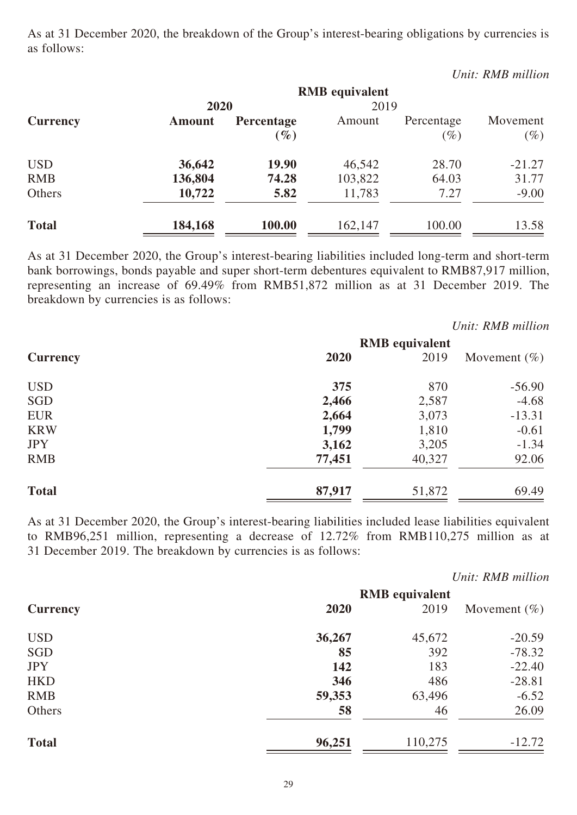As at 31 December 2020, the breakdown of the Group's interest-bearing obligations by currencies is as follows:

|              |               |            |                       |            | Unit: RMB million |
|--------------|---------------|------------|-----------------------|------------|-------------------|
|              |               |            | <b>RMB</b> equivalent |            |                   |
|              | 2020          |            | 2019                  |            |                   |
| Currency     | <b>Amount</b> | Percentage | Amount                | Percentage | Movement          |
|              |               | $(\%)$     |                       | $(\%)$     | $(\%)$            |
| <b>USD</b>   | 36,642        | 19.90      | 46,542                | 28.70      | $-21.27$          |
| <b>RMB</b>   | 136,804       | 74.28      | 103,822               | 64.03      | 31.77             |
| Others       | 10,722        | 5.82       | 11,783                | 7.27       | $-9.00$           |
| <b>Total</b> | 184,168       | 100.00     | 162,147               | 100.00     | 13.58             |

As at 31 December 2020, the Group's interest-bearing liabilities included long-term and short-term bank borrowings, bonds payable and super short-term debentures equivalent to RMB87,917 million, representing an increase of 69.49% from RMB51,872 million as at 31 December 2019. The breakdown by currencies is as follows:

|                 |        |                       | Unit: RMB million |
|-----------------|--------|-----------------------|-------------------|
|                 |        | <b>RMB</b> equivalent |                   |
| <b>Currency</b> | 2020   | 2019                  | Movement $(\% )$  |
| <b>USD</b>      | 375    | 870                   | $-56.90$          |
| SGD             | 2,466  | 2,587                 | $-4.68$           |
| <b>EUR</b>      | 2,664  | 3,073                 | $-13.31$          |
| <b>KRW</b>      | 1,799  | 1,810                 | $-0.61$           |
| <b>JPY</b>      | 3,162  | 3,205                 | $-1.34$           |
| <b>RMB</b>      | 77,451 | 40,327                | 92.06             |
| <b>Total</b>    | 87,917 | 51,872                | 69.49             |

As at 31 December 2020, the Group's interest-bearing liabilities included lease liabilities equivalent to RMB96,251 million, representing a decrease of 12.72% from RMB110,275 million as at 31 December 2019. The breakdown by currencies is as follows:

|                 |        |                               | Unit: RMB million |
|-----------------|--------|-------------------------------|-------------------|
| <b>Currency</b> | 2020   | <b>RMB</b> equivalent<br>2019 | Movement $(\% )$  |
| <b>USD</b>      | 36,267 | 45,672                        | $-20.59$          |
| SGD             | 85     | 392                           | $-78.32$          |
| <b>JPY</b>      | 142    | 183                           | $-22.40$          |
| <b>HKD</b>      | 346    | 486                           | $-28.81$          |
| <b>RMB</b>      | 59,353 | 63,496                        | $-6.52$           |
| Others          | 58     | 46                            | 26.09             |
| <b>Total</b>    | 96,251 | 110,275                       | $-12.72$          |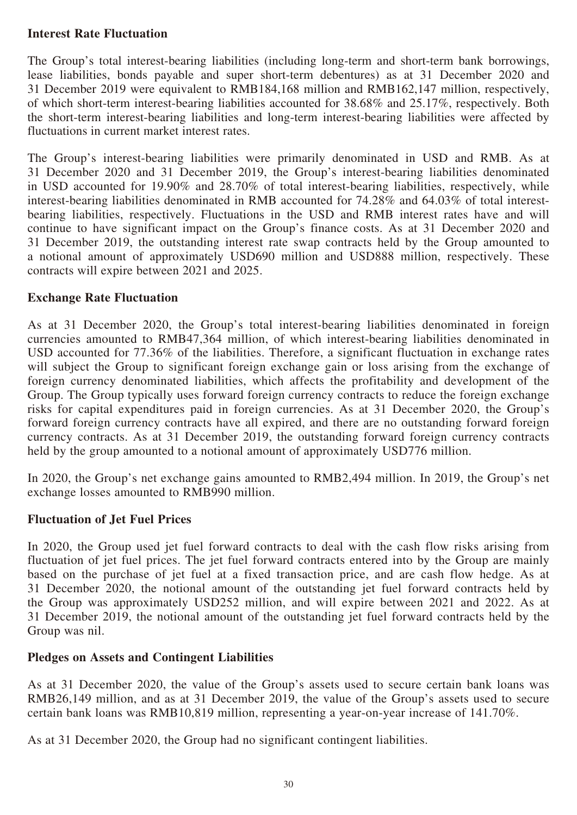## **Interest Rate Fluctuation**

The Group's total interest-bearing liabilities (including long-term and short-term bank borrowings, lease liabilities, bonds payable and super short-term debentures) as at 31 December 2020 and 31 December 2019 were equivalent to RMB184,168 million and RMB162,147 million, respectively, of which short-term interest-bearing liabilities accounted for 38.68% and 25.17%, respectively. Both the short-term interest-bearing liabilities and long-term interest-bearing liabilities were affected by fluctuations in current market interest rates.

The Group's interest-bearing liabilities were primarily denominated in USD and RMB. As at 31 December 2020 and 31 December 2019, the Group's interest-bearing liabilities denominated in USD accounted for 19.90% and 28.70% of total interest-bearing liabilities, respectively, while interest-bearing liabilities denominated in RMB accounted for 74.28% and 64.03% of total interestbearing liabilities, respectively. Fluctuations in the USD and RMB interest rates have and will continue to have significant impact on the Group's finance costs. As at 31 December 2020 and 31 December 2019, the outstanding interest rate swap contracts held by the Group amounted to a notional amount of approximately USD690 million and USD888 million, respectively. These contracts will expire between 2021 and 2025.

## **Exchange Rate Fluctuation**

As at 31 December 2020, the Group's total interest-bearing liabilities denominated in foreign currencies amounted to RMB47,364 million, of which interest-bearing liabilities denominated in USD accounted for 77.36% of the liabilities. Therefore, a significant fluctuation in exchange rates will subject the Group to significant foreign exchange gain or loss arising from the exchange of foreign currency denominated liabilities, which affects the profitability and development of the Group. The Group typically uses forward foreign currency contracts to reduce the foreign exchange risks for capital expenditures paid in foreign currencies. As at 31 December 2020, the Group's forward foreign currency contracts have all expired, and there are no outstanding forward foreign currency contracts. As at 31 December 2019, the outstanding forward foreign currency contracts held by the group amounted to a notional amount of approximately USD776 million.

In 2020, the Group's net exchange gains amounted to RMB2,494 million. In 2019, the Group's net exchange losses amounted to RMB990 million.

## **Fluctuation of Jet Fuel Prices**

In 2020, the Group used jet fuel forward contracts to deal with the cash flow risks arising from fluctuation of jet fuel prices. The jet fuel forward contracts entered into by the Group are mainly based on the purchase of jet fuel at a fixed transaction price, and are cash flow hedge. As at 31 December 2020, the notional amount of the outstanding jet fuel forward contracts held by the Group was approximately USD252 million, and will expire between 2021 and 2022. As at 31 December 2019, the notional amount of the outstanding jet fuel forward contracts held by the Group was nil.

## **Pledges on Assets and Contingent Liabilities**

As at 31 December 2020, the value of the Group's assets used to secure certain bank loans was RMB26,149 million, and as at 31 December 2019, the value of the Group's assets used to secure certain bank loans was RMB10,819 million, representing a year-on-year increase of 141.70%.

As at 31 December 2020, the Group had no significant contingent liabilities.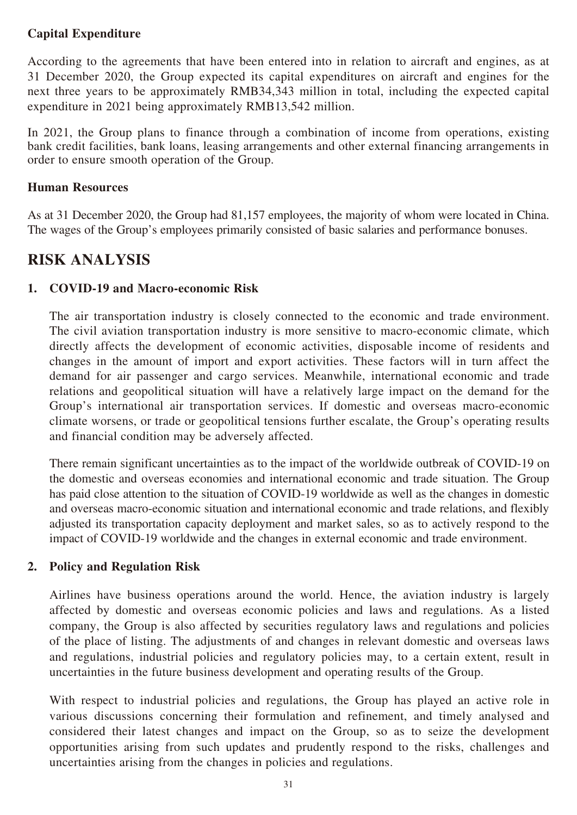# **Capital Expenditure**

According to the agreements that have been entered into in relation to aircraft and engines, as at 31 December 2020, the Group expected its capital expenditures on aircraft and engines for the next three years to be approximately RMB34,343 million in total, including the expected capital expenditure in 2021 being approximately RMB13,542 million.

In 2021, the Group plans to finance through a combination of income from operations, existing bank credit facilities, bank loans, leasing arrangements and other external financing arrangements in order to ensure smooth operation of the Group.

## **Human Resources**

As at 31 December 2020, the Group had 81,157 employees, the majority of whom were located in China. The wages of the Group's employees primarily consisted of basic salaries and performance bonuses.

# **RISK ANALYSIS**

# **1. COVID-19 and Macro-economic Risk**

The air transportation industry is closely connected to the economic and trade environment. The civil aviation transportation industry is more sensitive to macro-economic climate, which directly affects the development of economic activities, disposable income of residents and changes in the amount of import and export activities. These factors will in turn affect the demand for air passenger and cargo services. Meanwhile, international economic and trade relations and geopolitical situation will have a relatively large impact on the demand for the Group's international air transportation services. If domestic and overseas macro-economic climate worsens, or trade or geopolitical tensions further escalate, the Group's operating results and financial condition may be adversely affected.

There remain significant uncertainties as to the impact of the worldwide outbreak of COVID-19 on the domestic and overseas economies and international economic and trade situation. The Group has paid close attention to the situation of COVID-19 worldwide as well as the changes in domestic and overseas macro-economic situation and international economic and trade relations, and flexibly adjusted its transportation capacity deployment and market sales, so as to actively respond to the impact of COVID-19 worldwide and the changes in external economic and trade environment.

# **2. Policy and Regulation Risk**

Airlines have business operations around the world. Hence, the aviation industry is largely affected by domestic and overseas economic policies and laws and regulations. As a listed company, the Group is also affected by securities regulatory laws and regulations and policies of the place of listing. The adjustments of and changes in relevant domestic and overseas laws and regulations, industrial policies and regulatory policies may, to a certain extent, result in uncertainties in the future business development and operating results of the Group.

With respect to industrial policies and regulations, the Group has played an active role in various discussions concerning their formulation and refinement, and timely analysed and considered their latest changes and impact on the Group, so as to seize the development opportunities arising from such updates and prudently respond to the risks, challenges and uncertainties arising from the changes in policies and regulations.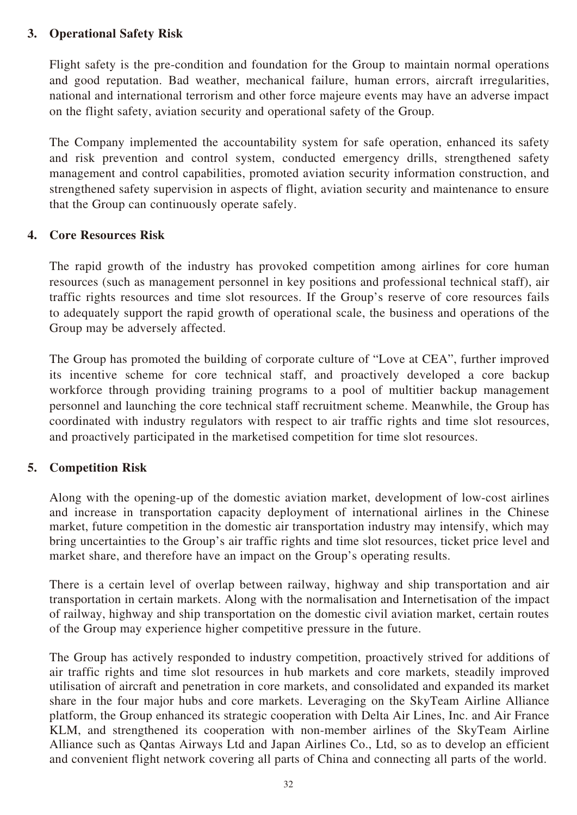# **3. Operational Safety Risk**

Flight safety is the pre-condition and foundation for the Group to maintain normal operations and good reputation. Bad weather, mechanical failure, human errors, aircraft irregularities, national and international terrorism and other force majeure events may have an adverse impact on the flight safety, aviation security and operational safety of the Group.

The Company implemented the accountability system for safe operation, enhanced its safety and risk prevention and control system, conducted emergency drills, strengthened safety management and control capabilities, promoted aviation security information construction, and strengthened safety supervision in aspects of flight, aviation security and maintenance to ensure that the Group can continuously operate safely.

## **4. Core Resources Risk**

The rapid growth of the industry has provoked competition among airlines for core human resources (such as management personnel in key positions and professional technical staff), air traffic rights resources and time slot resources. If the Group's reserve of core resources fails to adequately support the rapid growth of operational scale, the business and operations of the Group may be adversely affected.

The Group has promoted the building of corporate culture of "Love at CEA", further improved its incentive scheme for core technical staff, and proactively developed a core backup workforce through providing training programs to a pool of multitier backup management personnel and launching the core technical staff recruitment scheme. Meanwhile, the Group has coordinated with industry regulators with respect to air traffic rights and time slot resources, and proactively participated in the marketised competition for time slot resources.

## **5. Competition Risk**

Along with the opening-up of the domestic aviation market, development of low-cost airlines and increase in transportation capacity deployment of international airlines in the Chinese market, future competition in the domestic air transportation industry may intensify, which may bring uncertainties to the Group's air traffic rights and time slot resources, ticket price level and market share, and therefore have an impact on the Group's operating results.

There is a certain level of overlap between railway, highway and ship transportation and air transportation in certain markets. Along with the normalisation and Internetisation of the impact of railway, highway and ship transportation on the domestic civil aviation market, certain routes of the Group may experience higher competitive pressure in the future.

The Group has actively responded to industry competition, proactively strived for additions of air traffic rights and time slot resources in hub markets and core markets, steadily improved utilisation of aircraft and penetration in core markets, and consolidated and expanded its market share in the four major hubs and core markets. Leveraging on the SkyTeam Airline Alliance platform, the Group enhanced its strategic cooperation with Delta Air Lines, Inc. and Air France KLM, and strengthened its cooperation with non-member airlines of the SkyTeam Airline Alliance such as Qantas Airways Ltd and Japan Airlines Co., Ltd, so as to develop an efficient and convenient flight network covering all parts of China and connecting all parts of the world.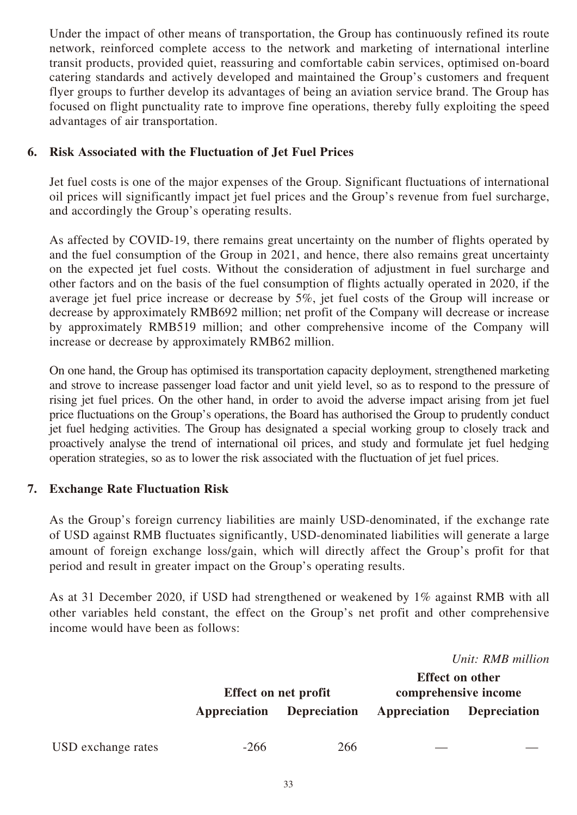Under the impact of other means of transportation, the Group has continuously refined its route network, reinforced complete access to the network and marketing of international interline transit products, provided quiet, reassuring and comfortable cabin services, optimised on-board catering standards and actively developed and maintained the Group's customers and frequent flyer groups to further develop its advantages of being an aviation service brand. The Group has focused on flight punctuality rate to improve fine operations, thereby fully exploiting the speed advantages of air transportation.

## **6. Risk Associated with the Fluctuation of Jet Fuel Prices**

Jet fuel costs is one of the major expenses of the Group. Significant fluctuations of international oil prices will significantly impact jet fuel prices and the Group's revenue from fuel surcharge, and accordingly the Group's operating results.

As affected by COVID-19, there remains great uncertainty on the number of flights operated by and the fuel consumption of the Group in 2021, and hence, there also remains great uncertainty on the expected jet fuel costs. Without the consideration of adjustment in fuel surcharge and other factors and on the basis of the fuel consumption of flights actually operated in 2020, if the average jet fuel price increase or decrease by 5%, jet fuel costs of the Group will increase or decrease by approximately RMB692 million; net profit of the Company will decrease or increase by approximately RMB519 million; and other comprehensive income of the Company will increase or decrease by approximately RMB62 million.

On one hand, the Group has optimised its transportation capacity deployment, strengthened marketing and strove to increase passenger load factor and unit yield level, so as to respond to the pressure of rising jet fuel prices. On the other hand, in order to avoid the adverse impact arising from jet fuel price fluctuations on the Group's operations, the Board has authorised the Group to prudently conduct jet fuel hedging activities. The Group has designated a special working group to closely track and proactively analyse the trend of international oil prices, and study and formulate jet fuel hedging operation strategies, so as to lower the risk associated with the fluctuation of jet fuel prices.

## **7. Exchange Rate Fluctuation Risk**

As the Group's foreign currency liabilities are mainly USD-denominated, if the exchange rate of USD against RMB fluctuates significantly, USD-denominated liabilities will generate a large amount of foreign exchange loss/gain, which will directly affect the Group's profit for that period and result in greater impact on the Group's operating results.

As at 31 December 2020, if USD had strengthened or weakened by 1% against RMB with all other variables held constant, the effect on the Group's net profit and other comprehensive income would have been as follows:

|                    |              | Effect on net profit |              | Unit: RMB million<br><b>Effect on other</b><br>comprehensive income |
|--------------------|--------------|----------------------|--------------|---------------------------------------------------------------------|
|                    | Appreciation | <b>Depreciation</b>  | Appreciation | <b>Depreciation</b>                                                 |
| USD exchange rates | $-266$       | 266                  |              |                                                                     |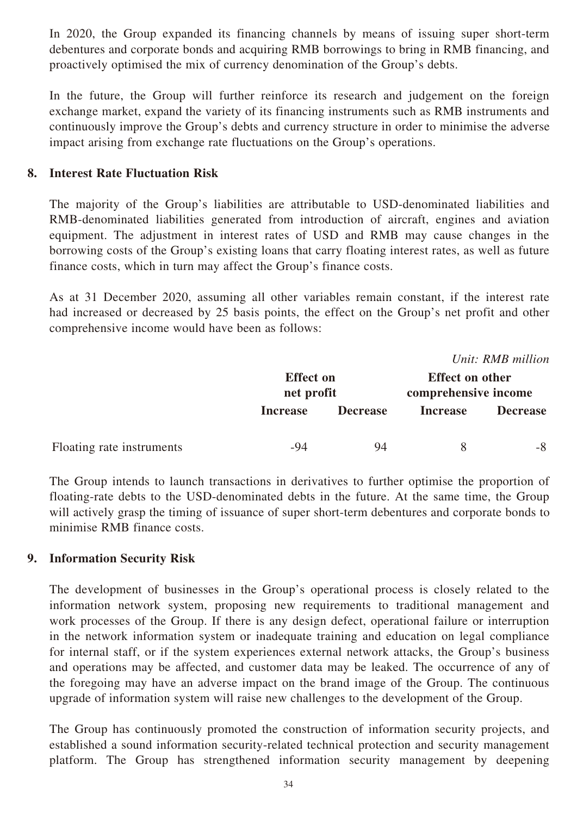In 2020, the Group expanded its financing channels by means of issuing super short-term debentures and corporate bonds and acquiring RMB borrowings to bring in RMB financing, and proactively optimised the mix of currency denomination of the Group's debts.

In the future, the Group will further reinforce its research and judgement on the foreign exchange market, expand the variety of its financing instruments such as RMB instruments and continuously improve the Group's debts and currency structure in order to minimise the adverse impact arising from exchange rate fluctuations on the Group's operations.

## **8. Interest Rate Fluctuation Risk**

The majority of the Group's liabilities are attributable to USD-denominated liabilities and RMB-denominated liabilities generated from introduction of aircraft, engines and aviation equipment. The adjustment in interest rates of USD and RMB may cause changes in the borrowing costs of the Group's existing loans that carry floating interest rates, as well as future finance costs, which in turn may affect the Group's finance costs.

As at 31 December 2020, assuming all other variables remain constant, if the interest rate had increased or decreased by 25 basis points, the effect on the Group's net profit and other comprehensive income would have been as follows:

*Unit: RMB million* **Effect on net profit Effect on other comprehensive income Increase Decrease Increase Decrease** Floating rate instruments -94 94 8 -8

The Group intends to launch transactions in derivatives to further optimise the proportion of floating-rate debts to the USD-denominated debts in the future. At the same time, the Group will actively grasp the timing of issuance of super short-term debentures and corporate bonds to minimise RMB finance costs.

# **9. Information Security Risk**

The development of businesses in the Group's operational process is closely related to the information network system, proposing new requirements to traditional management and work processes of the Group. If there is any design defect, operational failure or interruption in the network information system or inadequate training and education on legal compliance for internal staff, or if the system experiences external network attacks, the Group's business and operations may be affected, and customer data may be leaked. The occurrence of any of the foregoing may have an adverse impact on the brand image of the Group. The continuous upgrade of information system will raise new challenges to the development of the Group.

The Group has continuously promoted the construction of information security projects, and established a sound information security-related technical protection and security management platform. The Group has strengthened information security management by deepening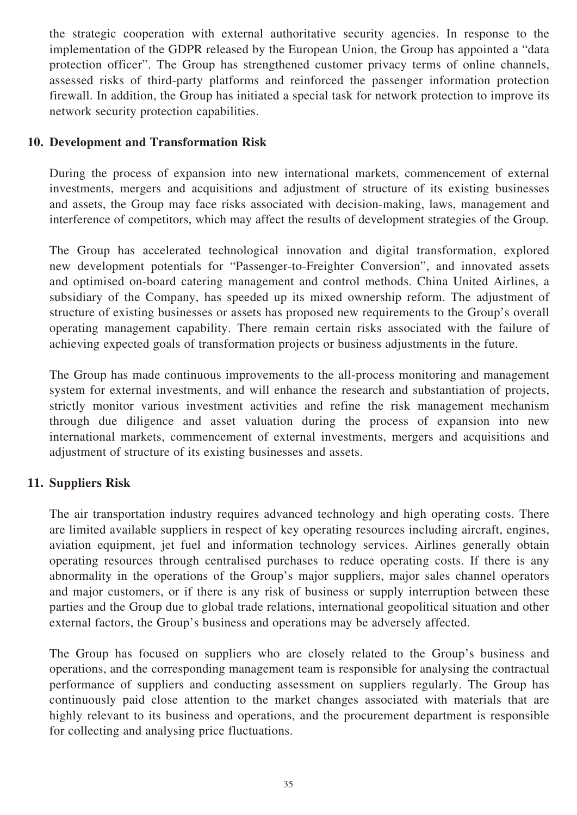the strategic cooperation with external authoritative security agencies. In response to the implementation of the GDPR released by the European Union, the Group has appointed a "data protection officer". The Group has strengthened customer privacy terms of online channels, assessed risks of third-party platforms and reinforced the passenger information protection firewall. In addition, the Group has initiated a special task for network protection to improve its network security protection capabilities.

## **10. Development and Transformation Risk**

During the process of expansion into new international markets, commencement of external investments, mergers and acquisitions and adjustment of structure of its existing businesses and assets, the Group may face risks associated with decision-making, laws, management and interference of competitors, which may affect the results of development strategies of the Group.

The Group has accelerated technological innovation and digital transformation, explored new development potentials for "Passenger-to-Freighter Conversion", and innovated assets and optimised on-board catering management and control methods. China United Airlines, a subsidiary of the Company, has speeded up its mixed ownership reform. The adjustment of structure of existing businesses or assets has proposed new requirements to the Group's overall operating management capability. There remain certain risks associated with the failure of achieving expected goals of transformation projects or business adjustments in the future.

The Group has made continuous improvements to the all-process monitoring and management system for external investments, and will enhance the research and substantiation of projects, strictly monitor various investment activities and refine the risk management mechanism through due diligence and asset valuation during the process of expansion into new international markets, commencement of external investments, mergers and acquisitions and adjustment of structure of its existing businesses and assets.

## **11. Suppliers Risk**

The air transportation industry requires advanced technology and high operating costs. There are limited available suppliers in respect of key operating resources including aircraft, engines, aviation equipment, jet fuel and information technology services. Airlines generally obtain operating resources through centralised purchases to reduce operating costs. If there is any abnormality in the operations of the Group's major suppliers, major sales channel operators and major customers, or if there is any risk of business or supply interruption between these parties and the Group due to global trade relations, international geopolitical situation and other external factors, the Group's business and operations may be adversely affected.

The Group has focused on suppliers who are closely related to the Group's business and operations, and the corresponding management team is responsible for analysing the contractual performance of suppliers and conducting assessment on suppliers regularly. The Group has continuously paid close attention to the market changes associated with materials that are highly relevant to its business and operations, and the procurement department is responsible for collecting and analysing price fluctuations.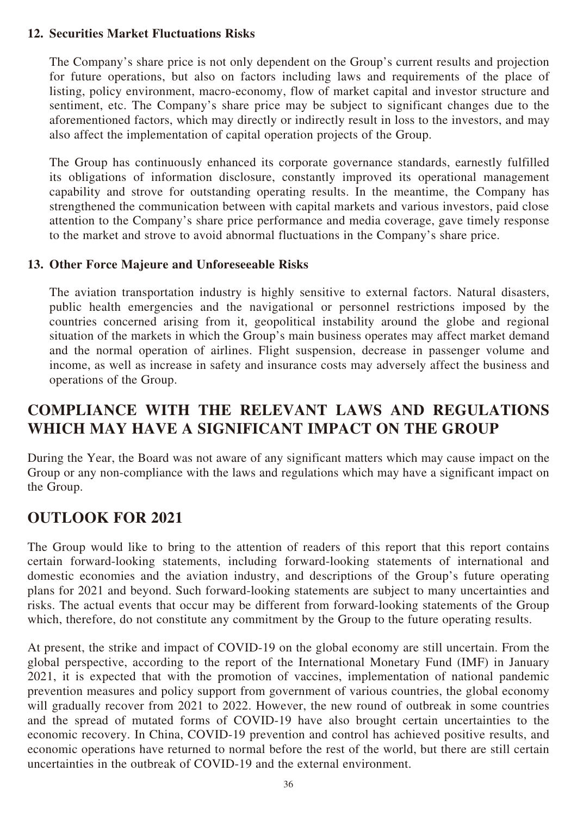## **12. Securities Market Fluctuations Risks**

The Company's share price is not only dependent on the Group's current results and projection for future operations, but also on factors including laws and requirements of the place of listing, policy environment, macro-economy, flow of market capital and investor structure and sentiment, etc. The Company's share price may be subject to significant changes due to the aforementioned factors, which may directly or indirectly result in loss to the investors, and may also affect the implementation of capital operation projects of the Group.

The Group has continuously enhanced its corporate governance standards, earnestly fulfilled its obligations of information disclosure, constantly improved its operational management capability and strove for outstanding operating results. In the meantime, the Company has strengthened the communication between with capital markets and various investors, paid close attention to the Company's share price performance and media coverage, gave timely response to the market and strove to avoid abnormal fluctuations in the Company's share price.

## **13. Other Force Majeure and Unforeseeable Risks**

The aviation transportation industry is highly sensitive to external factors. Natural disasters, public health emergencies and the navigational or personnel restrictions imposed by the countries concerned arising from it, geopolitical instability around the globe and regional situation of the markets in which the Group's main business operates may affect market demand and the normal operation of airlines. Flight suspension, decrease in passenger volume and income, as well as increase in safety and insurance costs may adversely affect the business and operations of the Group.

# **COMPLIANCE WITH THE RELEVANT LAWS AND REGULATIONS WHICH MAY HAVE A SIGNIFICANT IMPACT ON THE GROUP**

During the Year, the Board was not aware of any significant matters which may cause impact on the Group or any non-compliance with the laws and regulations which may have a significant impact on the Group.

# **OUTLOOK FOR 2021**

The Group would like to bring to the attention of readers of this report that this report contains certain forward-looking statements, including forward-looking statements of international and domestic economies and the aviation industry, and descriptions of the Group's future operating plans for 2021 and beyond. Such forward-looking statements are subject to many uncertainties and risks. The actual events that occur may be different from forward-looking statements of the Group which, therefore, do not constitute any commitment by the Group to the future operating results.

At present, the strike and impact of COVID-19 on the global economy are still uncertain. From the global perspective, according to the report of the International Monetary Fund (IMF) in January 2021, it is expected that with the promotion of vaccines, implementation of national pandemic prevention measures and policy support from government of various countries, the global economy will gradually recover from 2021 to 2022. However, the new round of outbreak in some countries and the spread of mutated forms of COVID-19 have also brought certain uncertainties to the economic recovery. In China, COVID-19 prevention and control has achieved positive results, and economic operations have returned to normal before the rest of the world, but there are still certain uncertainties in the outbreak of COVID-19 and the external environment.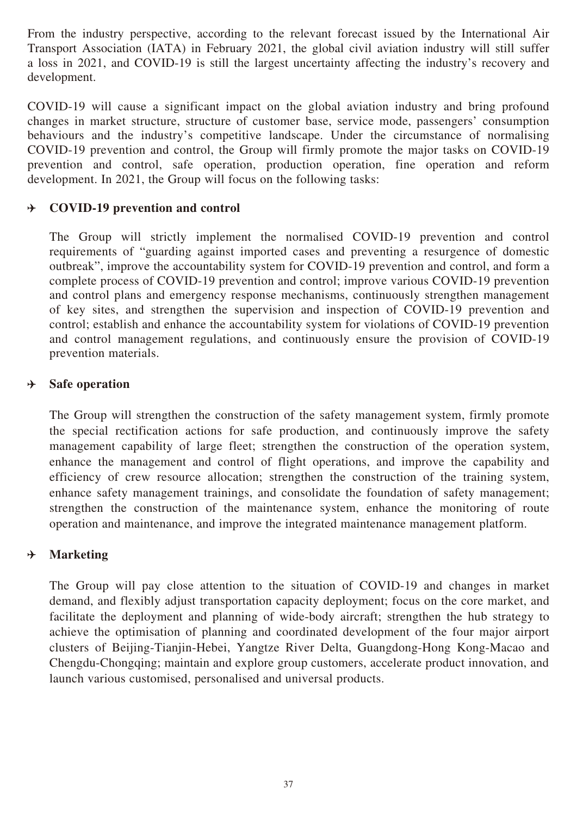From the industry perspective, according to the relevant forecast issued by the International Air Transport Association (IATA) in February 2021, the global civil aviation industry will still suffer a loss in 2021, and COVID-19 is still the largest uncertainty affecting the industry's recovery and development.

COVID-19 will cause a significant impact on the global aviation industry and bring profound changes in market structure, structure of customer base, service mode, passengers' consumption behaviours and the industry's competitive landscape. Under the circumstance of normalising COVID-19 prevention and control, the Group will firmly promote the major tasks on COVID-19 prevention and control, safe operation, production operation, fine operation and reform development. In 2021, the Group will focus on the following tasks:

#### **COVID-19 prevention and control**  $+$

The Group will strictly implement the normalised COVID-19 prevention and control requirements of "guarding against imported cases and preventing a resurgence of domestic outbreak", improve the accountability system for COVID-19 prevention and control, and form a complete process of COVID-19 prevention and control; improve various COVID-19 prevention and control plans and emergency response mechanisms, continuously strengthen management of key sites, and strengthen the supervision and inspection of COVID-19 prevention and control; establish and enhance the accountability system for violations of COVID-19 prevention and control management regulations, and continuously ensure the provision of COVID-19 prevention materials.

#### **Safe operation** ⊁

The Group will strengthen the construction of the safety management system, firmly promote the special rectification actions for safe production, and continuously improve the safety management capability of large fleet; strengthen the construction of the operation system, enhance the management and control of flight operations, and improve the capability and efficiency of crew resource allocation; strengthen the construction of the training system, enhance safety management trainings, and consolidate the foundation of safety management; strengthen the construction of the maintenance system, enhance the monitoring of route operation and maintenance, and improve the integrated maintenance management platform.

#### $\rightarrow$ **Marketing**

The Group will pay close attention to the situation of COVID-19 and changes in market demand, and flexibly adjust transportation capacity deployment; focus on the core market, and facilitate the deployment and planning of wide-body aircraft; strengthen the hub strategy to achieve the optimisation of planning and coordinated development of the four major airport clusters of Beijing-Tianjin-Hebei, Yangtze River Delta, Guangdong-Hong Kong-Macao and Chengdu-Chongqing; maintain and explore group customers, accelerate product innovation, and launch various customised, personalised and universal products.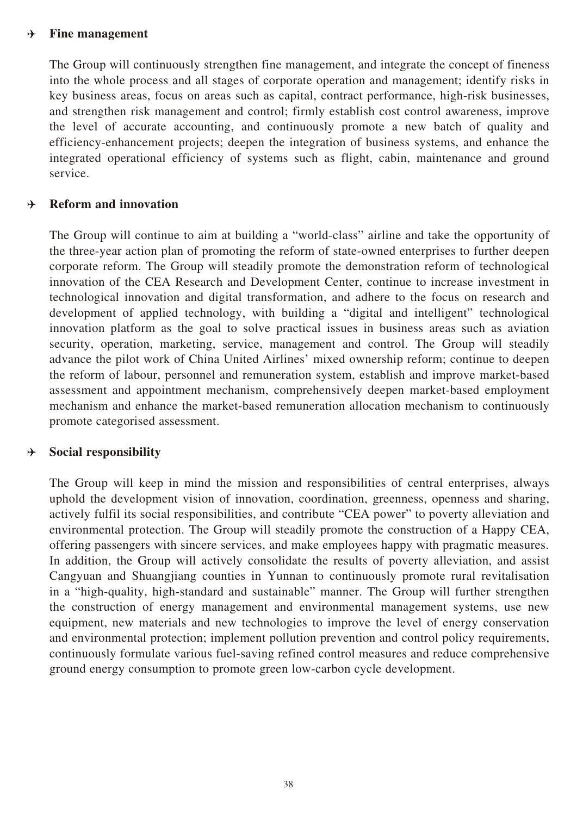#### **Fine management**  $\rightarrow$

The Group will continuously strengthen fine management, and integrate the concept of fineness into the whole process and all stages of corporate operation and management; identify risks in key business areas, focus on areas such as capital, contract performance, high-risk businesses, and strengthen risk management and control; firmly establish cost control awareness, improve the level of accurate accounting, and continuously promote a new batch of quality and efficiency-enhancement projects; deepen the integration of business systems, and enhance the integrated operational efficiency of systems such as flight, cabin, maintenance and ground service.

#### **Reform and innovation** ∱

The Group will continue to aim at building a "world-class" airline and take the opportunity of the three-year action plan of promoting the reform of state-owned enterprises to further deepen corporate reform. The Group will steadily promote the demonstration reform of technological innovation of the CEA Research and Development Center, continue to increase investment in technological innovation and digital transformation, and adhere to the focus on research and development of applied technology, with building a "digital and intelligent" technological innovation platform as the goal to solve practical issues in business areas such as aviation security, operation, marketing, service, management and control. The Group will steadily advance the pilot work of China United Airlines' mixed ownership reform; continue to deepen the reform of labour, personnel and remuneration system, establish and improve market-based assessment and appointment mechanism, comprehensively deepen market-based employment mechanism and enhance the market-based remuneration allocation mechanism to continuously promote categorised assessment.

#### **Social responsibility** ⊁

The Group will keep in mind the mission and responsibilities of central enterprises, always uphold the development vision of innovation, coordination, greenness, openness and sharing, actively fulfil its social responsibilities, and contribute "CEA power" to poverty alleviation and environmental protection. The Group will steadily promote the construction of a Happy CEA, offering passengers with sincere services, and make employees happy with pragmatic measures. In addition, the Group will actively consolidate the results of poverty alleviation, and assist Cangyuan and Shuangjiang counties in Yunnan to continuously promote rural revitalisation in a "high-quality, high-standard and sustainable" manner. The Group will further strengthen the construction of energy management and environmental management systems, use new equipment, new materials and new technologies to improve the level of energy conservation and environmental protection; implement pollution prevention and control policy requirements, continuously formulate various fuel-saving refined control measures and reduce comprehensive ground energy consumption to promote green low-carbon cycle development.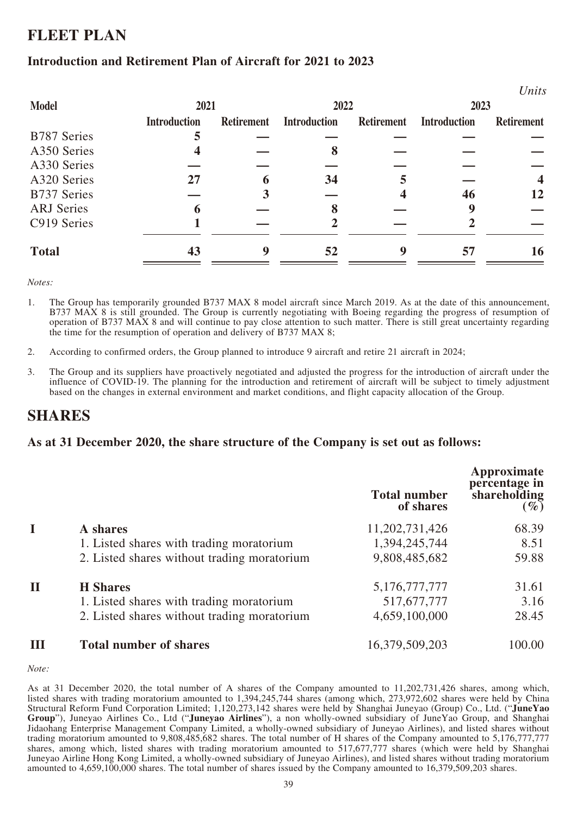# **FLEET PLAN**

## **Introduction and Retirement Plan of Aircraft for 2021 to 2023**

|                    |                     |                   |                     |                   |                     | $\cup$ <i>nus</i>       |  |
|--------------------|---------------------|-------------------|---------------------|-------------------|---------------------|-------------------------|--|
| <b>Model</b>       |                     | 2021              |                     | 2022              |                     | 2023                    |  |
|                    | <b>Introduction</b> | <b>Retirement</b> | <b>Introduction</b> | <b>Retirement</b> | <b>Introduction</b> | <b>Retirement</b>       |  |
| <b>B787 Series</b> |                     |                   |                     |                   |                     |                         |  |
| A350 Series        |                     |                   | 8                   |                   |                     |                         |  |
| A330 Series        |                     |                   |                     |                   |                     |                         |  |
| A320 Series        | 27                  |                   | 34                  |                   |                     | $\overline{\mathbf{4}}$ |  |
| <b>B737 Series</b> |                     |                   |                     |                   | 46                  | 12                      |  |
| <b>ARJ</b> Series  | 6                   |                   |                     |                   |                     |                         |  |
| C919 Series        |                     |                   |                     |                   |                     |                         |  |
| <b>Total</b>       | 43                  |                   | 52                  |                   | 57                  | 16                      |  |
|                    |                     |                   |                     |                   |                     |                         |  |

 $II$ <sub>1</sub>

*Notes:*

- 1. The Group has temporarily grounded B737 MAX 8 model aircraft since March 2019. As at the date of this announcement, B737 MAX 8 is still grounded. The Group is currently negotiating with Boeing regarding the progress of resumption of operation of B737 MAX 8 and will continue to pay close attention to such matter. There is still great uncertainty regarding the time for the resumption of operation and delivery of B737 MAX 8;
- 2. According to confirmed orders, the Group planned to introduce 9 aircraft and retire 21 aircraft in 2024;
- 3. The Group and its suppliers have proactively negotiated and adjusted the progress for the introduction of aircraft under the influence of COVID-19. The planning for the introduction and retirement of aircraft will be subject to timely adjustment based on the changes in external environment and market conditions, and flight capacity allocation of the Group.

# **SHARES**

## **As at 31 December 2020, the share structure of the Company is set out as follows:**

|             |                                             | <b>Total number</b><br>of shares | Approximate<br>percentage in<br>shareholding<br>$(\%)$ |
|-------------|---------------------------------------------|----------------------------------|--------------------------------------------------------|
|             | A shares                                    | 11,202,731,426                   | 68.39                                                  |
|             | 1. Listed shares with trading moratorium    | 1,394,245,744                    | 8.51                                                   |
|             | 2. Listed shares without trading moratorium | 9,808,485,682                    | 59.88                                                  |
| $\mathbf H$ | <b>H</b> Shares                             | 5,176,777,777                    | 31.61                                                  |
|             | 1. Listed shares with trading moratorium    | 517,677,777                      | 3.16                                                   |
|             | 2. Listed shares without trading moratorium | 4,659,100,000                    | 28.45                                                  |
| Ш           | <b>Total number of shares</b>               | 16,379,509,203                   | 100.00                                                 |

*Note:*

As at 31 December 2020, the total number of A shares of the Company amounted to 11,202,731,426 shares, among which, listed shares with trading moratorium amounted to 1,394,245,744 shares (among which, 273,972,602 shares were held by China Structural Reform Fund Corporation Limited; 1,120,273,142 shares were held by Shanghai Juneyao (Group) Co., Ltd. ("**JuneYao Group**"), Juneyao Airlines Co., Ltd ("**Juneyao Airlines**"), a non wholly-owned subsidiary of JuneYao Group, and Shanghai Jidaohang Enterprise Management Company Limited, a wholly-owned subsidiary of Juneyao Airlines), and listed shares without trading moratorium amounted to 9,808,485,682 shares. The total number of H shares of the Company amounted to 5,176,777,777 shares, among which, listed shares with trading moratorium amounted to 517,677,777 shares (which were held by Shanghai Juneyao Airline Hong Kong Limited, a wholly-owned subsidiary of Juneyao Airlines), and listed shares without trading moratorium amounted to 4,659,100,000 shares. The total number of shares issued by the Company amounted to 16,379,509,203 shares.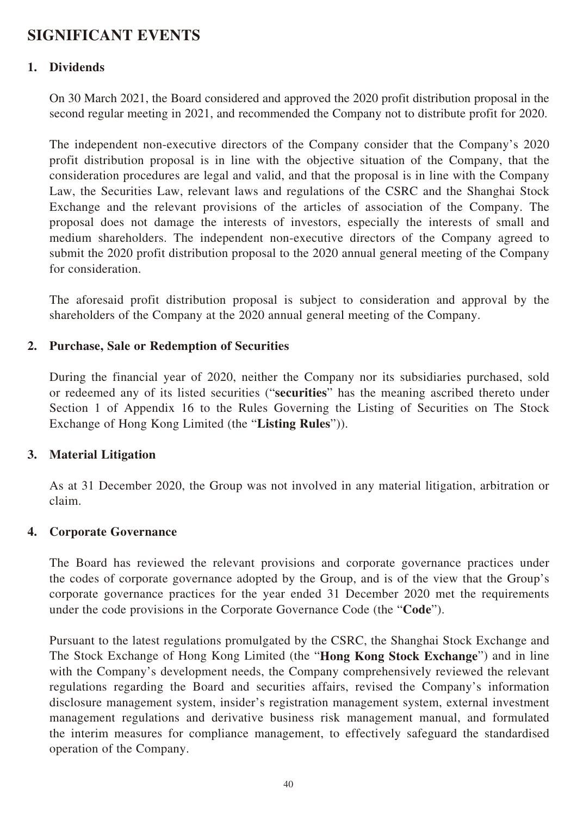# **SIGNIFICANT EVENTS**

## **1. Dividends**

On 30 March 2021, the Board considered and approved the 2020 profit distribution proposal in the second regular meeting in 2021, and recommended the Company not to distribute profit for 2020.

The independent non-executive directors of the Company consider that the Company's 2020 profit distribution proposal is in line with the objective situation of the Company, that the consideration procedures are legal and valid, and that the proposal is in line with the Company Law, the Securities Law, relevant laws and regulations of the CSRC and the Shanghai Stock Exchange and the relevant provisions of the articles of association of the Company. The proposal does not damage the interests of investors, especially the interests of small and medium shareholders. The independent non-executive directors of the Company agreed to submit the 2020 profit distribution proposal to the 2020 annual general meeting of the Company for consideration.

The aforesaid profit distribution proposal is subject to consideration and approval by the shareholders of the Company at the 2020 annual general meeting of the Company.

## **2. Purchase, Sale or Redemption of Securities**

During the financial year of 2020, neither the Company nor its subsidiaries purchased, sold or redeemed any of its listed securities ("**securities**" has the meaning ascribed thereto under Section 1 of Appendix 16 to the Rules Governing the Listing of Securities on The Stock Exchange of Hong Kong Limited (the "**Listing Rules**")).

## **3. Material Litigation**

As at 31 December 2020, the Group was not involved in any material litigation, arbitration or claim.

## **4. Corporate Governance**

The Board has reviewed the relevant provisions and corporate governance practices under the codes of corporate governance adopted by the Group, and is of the view that the Group's corporate governance practices for the year ended 31 December 2020 met the requirements under the code provisions in the Corporate Governance Code (the "**Code**").

Pursuant to the latest regulations promulgated by the CSRC, the Shanghai Stock Exchange and The Stock Exchange of Hong Kong Limited (the "**Hong Kong Stock Exchange**") and in line with the Company's development needs, the Company comprehensively reviewed the relevant regulations regarding the Board and securities affairs, revised the Company's information disclosure management system, insider's registration management system, external investment management regulations and derivative business risk management manual, and formulated the interim measures for compliance management, to effectively safeguard the standardised operation of the Company.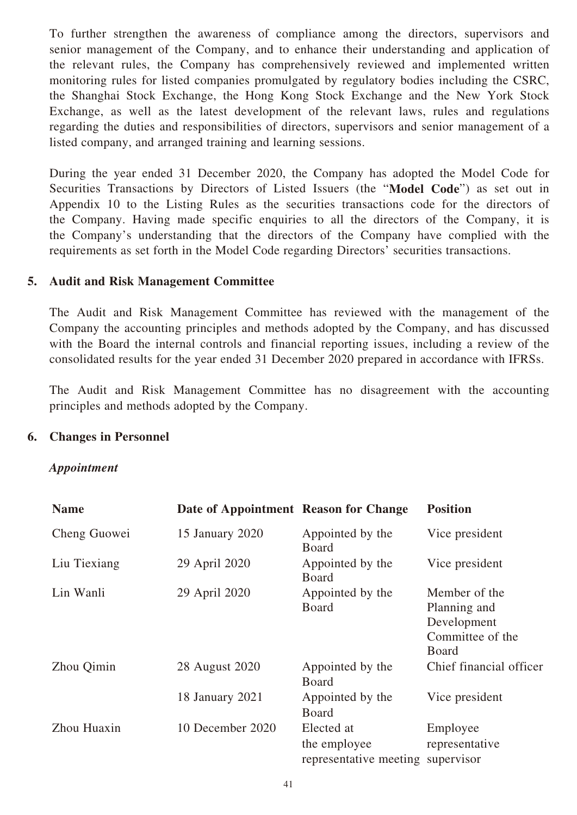To further strengthen the awareness of compliance among the directors, supervisors and senior management of the Company, and to enhance their understanding and application of the relevant rules, the Company has comprehensively reviewed and implemented written monitoring rules for listed companies promulgated by regulatory bodies including the CSRC, the Shanghai Stock Exchange, the Hong Kong Stock Exchange and the New York Stock Exchange, as well as the latest development of the relevant laws, rules and regulations regarding the duties and responsibilities of directors, supervisors and senior management of a listed company, and arranged training and learning sessions.

During the year ended 31 December 2020, the Company has adopted the Model Code for Securities Transactions by Directors of Listed Issuers (the "**Model Code**") as set out in Appendix 10 to the Listing Rules as the securities transactions code for the directors of the Company. Having made specific enquiries to all the directors of the Company, it is the Company's understanding that the directors of the Company have complied with the requirements as set forth in the Model Code regarding Directors' securities transactions.

## **5. Audit and Risk Management Committee**

The Audit and Risk Management Committee has reviewed with the management of the Company the accounting principles and methods adopted by the Company, and has discussed with the Board the internal controls and financial reporting issues, including a review of the consolidated results for the year ended 31 December 2020 prepared in accordance with IFRSs.

The Audit and Risk Management Committee has no disagreement with the accounting principles and methods adopted by the Company.

## **6. Changes in Personnel**

## *Appointment*

| <b>Name</b>  | Date of Appointment Reason for Change |                                                      | <b>Position</b>                                                                  |
|--------------|---------------------------------------|------------------------------------------------------|----------------------------------------------------------------------------------|
| Cheng Guowei | 15 January 2020                       | Appointed by the<br>Board                            | Vice president                                                                   |
| Liu Tiexiang | 29 April 2020                         | Appointed by the<br><b>Board</b>                     | Vice president                                                                   |
| Lin Wanli    | 29 April 2020                         | Appointed by the<br><b>Board</b>                     | Member of the<br>Planning and<br>Development<br>Committee of the<br><b>Board</b> |
| Zhou Qimin   | 28 August 2020                        | Appointed by the<br><b>Board</b>                     | Chief financial officer                                                          |
|              | 18 January 2021                       | Appointed by the<br>Board                            | Vice president                                                                   |
| Zhou Huaxin  | 10 December 2020                      | Elected at<br>the employee<br>representative meeting | Employee<br>representative<br>supervisor                                         |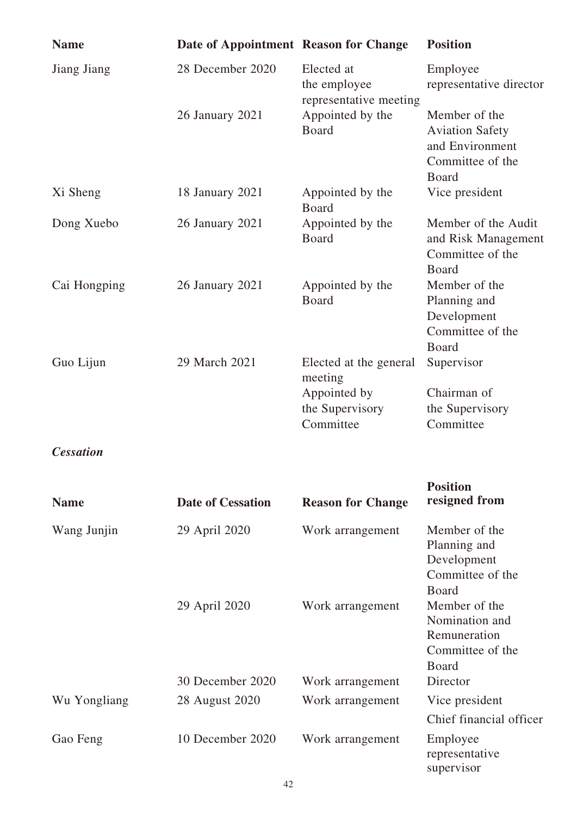| <b>Name</b>      | Date of Appointment Reason for Change |                                                      | <b>Position</b>                                                                         |
|------------------|---------------------------------------|------------------------------------------------------|-----------------------------------------------------------------------------------------|
| Jiang Jiang      | 28 December 2020                      | Elected at<br>the employee<br>representative meeting | Employee<br>representative director                                                     |
|                  | 26 January 2021                       | Appointed by the<br>Board                            | Member of the<br><b>Aviation Safety</b><br>and Environment<br>Committee of the<br>Board |
| Xi Sheng         | 18 January 2021                       | Appointed by the<br>Board                            | Vice president                                                                          |
| Dong Xuebo       | 26 January 2021                       | Appointed by the<br>Board                            | Member of the Audit<br>and Risk Management<br>Committee of the<br>Board                 |
| Cai Hongping     | 26 January 2021                       | Appointed by the<br>Board                            | Member of the<br>Planning and<br>Development<br>Committee of the<br>Board               |
| Guo Lijun        | 29 March 2021                         | Elected at the general<br>meeting                    | Supervisor                                                                              |
|                  |                                       | Appointed by<br>the Supervisory<br>Committee         | Chairman of<br>the Supervisory<br>Committee                                             |
| <b>Cessation</b> |                                       |                                                      |                                                                                         |
| <b>Name</b>      | <b>Date of Cessation</b>              | <b>Reason for Change</b>                             | <b>Position</b><br>resigned from                                                        |
| Wang Junjin      | 29 April 2020                         | Work arrangement                                     | Member of the<br>Planning and<br>Development<br>Committee of the<br>Board               |
|                  | 29 April 2020                         | Work arrangement                                     | Member of the<br>Nomination and<br>Remuneration<br>Committee of the<br>Board            |
|                  | 30 December 2020                      | Work arrangement                                     | Director                                                                                |
| Wu Yongliang     | 28 August 2020                        | Work arrangement                                     | Vice president<br>Chief financial officer                                               |
| Gao Feng         | 10 December 2020                      | Work arrangement                                     | Employee<br>representative<br>supervisor                                                |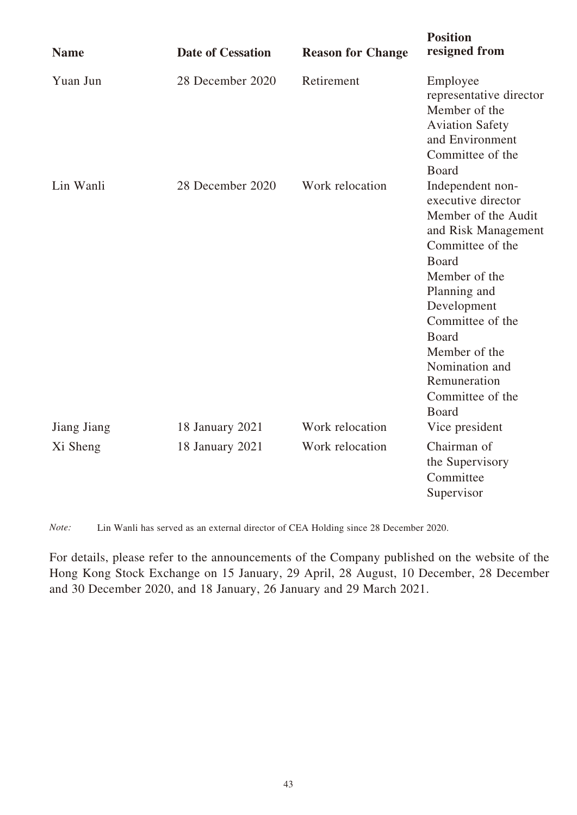| <b>Name</b> | <b>Date of Cessation</b> | <b>Reason for Change</b> | <b>Position</b><br>resigned from                                                                                                                                                                                                                                                             |
|-------------|--------------------------|--------------------------|----------------------------------------------------------------------------------------------------------------------------------------------------------------------------------------------------------------------------------------------------------------------------------------------|
| Yuan Jun    | 28 December 2020         | Retirement               | Employee<br>representative director<br>Member of the<br><b>Aviation Safety</b><br>and Environment<br>Committee of the<br><b>Board</b>                                                                                                                                                        |
| Lin Wanli   | 28 December 2020         | Work relocation          | Independent non-<br>executive director<br>Member of the Audit<br>and Risk Management<br>Committee of the<br><b>Board</b><br>Member of the<br>Planning and<br>Development<br>Committee of the<br><b>Board</b><br>Member of the<br>Nomination and<br>Remuneration<br>Committee of the<br>Board |
| Jiang Jiang | 18 January 2021          | Work relocation          | Vice president                                                                                                                                                                                                                                                                               |
| Xi Sheng    | 18 January 2021          | Work relocation          | Chairman of<br>the Supervisory<br>Committee<br>Supervisor                                                                                                                                                                                                                                    |

*Note:* Lin Wanli has served as an external director of CEA Holding since 28 December 2020.

For details, please refer to the announcements of the Company published on the website of the Hong Kong Stock Exchange on 15 January, 29 April, 28 August, 10 December, 28 December and 30 December 2020, and 18 January, 26 January and 29 March 2021.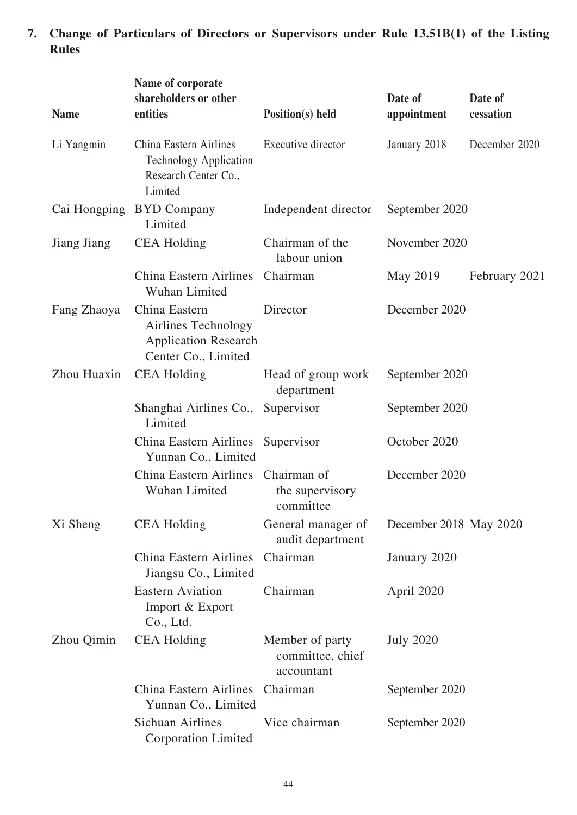**7. Change of Particulars of Directors or Supervisors under Rule 13.51B(1) of the Listing Rules**

| <b>Name</b>  | Name of corporate<br>shareholders or other<br>entities                                            | Position(s) held                                  | Date of<br>appointment | Date of<br>cessation |
|--------------|---------------------------------------------------------------------------------------------------|---------------------------------------------------|------------------------|----------------------|
| Li Yangmin   | <b>China Eastern Airlines</b><br><b>Technology Application</b><br>Research Center Co.,<br>Limited | Executive director                                | January 2018           | December 2020        |
| Cai Hongping | <b>BYD Company</b><br>Limited                                                                     | Independent director                              | September 2020         |                      |
| Jiang Jiang  | <b>CEA Holding</b>                                                                                | Chairman of the<br>labour union                   | November 2020          |                      |
|              | China Eastern Airlines<br>Wuhan Limited                                                           | Chairman                                          | May 2019               | February 2021        |
| Fang Zhaoya  | China Eastern<br>Airlines Technology<br><b>Application Research</b><br>Center Co., Limited        | Director                                          | December 2020          |                      |
| Zhou Huaxin  | <b>CEA Holding</b>                                                                                | Head of group work<br>department                  | September 2020         |                      |
|              | Shanghai Airlines Co.,<br>Limited                                                                 | Supervisor                                        | September 2020         |                      |
|              | China Eastern Airlines<br>Yunnan Co., Limited                                                     | Supervisor                                        | October 2020           |                      |
|              | <b>China Eastern Airlines</b><br>Wuhan Limited                                                    | Chairman of<br>the supervisory<br>committee       | December 2020          |                      |
| Xi Sheng     | <b>CEA Holding</b>                                                                                | General manager of<br>audit department            | December 2018 May 2020 |                      |
|              | <b>China Eastern Airlines</b><br>Jiangsu Co., Limited                                             | Chairman                                          | January 2020           |                      |
|              | <b>Eastern Aviation</b><br>Import & Export<br>Co., Ltd.                                           | Chairman                                          | April 2020             |                      |
| Zhou Qimin   | <b>CEA Holding</b>                                                                                | Member of party<br>committee, chief<br>accountant | <b>July 2020</b>       |                      |
|              | China Eastern Airlines Chairman<br>Yunnan Co., Limited                                            |                                                   | September 2020         |                      |
|              | <b>Sichuan Airlines</b><br><b>Corporation Limited</b>                                             | Vice chairman                                     | September 2020         |                      |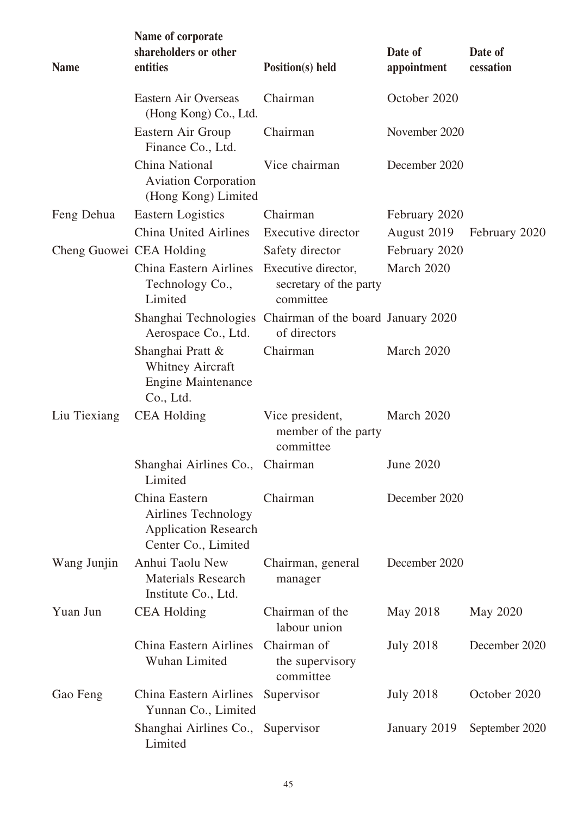| <b>Name</b>              | Name of corporate<br>shareholders or other<br>entities                                     | Position(s) held                                           | Date of<br>appointment | Date of<br>cessation |
|--------------------------|--------------------------------------------------------------------------------------------|------------------------------------------------------------|------------------------|----------------------|
|                          | Eastern Air Overseas<br>(Hong Kong) Co., Ltd.                                              | Chairman                                                   | October 2020           |                      |
|                          | Eastern Air Group<br>Finance Co., Ltd.                                                     | Chairman                                                   | November 2020          |                      |
|                          | China National<br><b>Aviation Corporation</b><br>(Hong Kong) Limited                       | Vice chairman                                              | December 2020          |                      |
| Feng Dehua               | Eastern Logistics                                                                          | Chairman                                                   | February 2020          |                      |
|                          | <b>China United Airlines</b>                                                               | Executive director                                         | August 2019            | February 2020        |
| Cheng Guowei CEA Holding |                                                                                            | Safety director                                            | February 2020          |                      |
|                          | <b>China Eastern Airlines</b><br>Technology Co.,<br>Limited                                | Executive director,<br>secretary of the party<br>committee | March 2020             |                      |
|                          | Shanghai Technologies Chairman of the board January 2020<br>Aerospace Co., Ltd.            | of directors                                               |                        |                      |
|                          | Shanghai Pratt &<br><b>Whitney Aircraft</b><br><b>Engine Maintenance</b><br>Co., Ltd.      | Chairman                                                   | March 2020             |                      |
| Liu Tiexiang             | <b>CEA Holding</b>                                                                         | Vice president,<br>member of the party<br>committee        | March 2020             |                      |
|                          | Shanghai Airlines Co., Chairman<br>Limited                                                 |                                                            | <b>June 2020</b>       |                      |
|                          | China Eastern<br>Airlines Technology<br><b>Application Research</b><br>Center Co., Limited | Chairman                                                   | December 2020          |                      |
| Wang Junjin              | Anhui Taolu New<br><b>Materials Research</b><br>Institute Co., Ltd.                        | Chairman, general<br>manager                               | December 2020          |                      |
| Yuan Jun                 | <b>CEA Holding</b>                                                                         | Chairman of the<br>labour union                            | May 2018               | May 2020             |
|                          | <b>China Eastern Airlines</b><br>Wuhan Limited                                             | Chairman of<br>the supervisory<br>committee                | <b>July 2018</b>       | December 2020        |
| Gao Feng                 | China Eastern Airlines Supervisor<br>Yunnan Co., Limited                                   |                                                            | <b>July 2018</b>       | October 2020         |
|                          | Shanghai Airlines Co., Supervisor<br>Limited                                               |                                                            | January 2019           | September 2020       |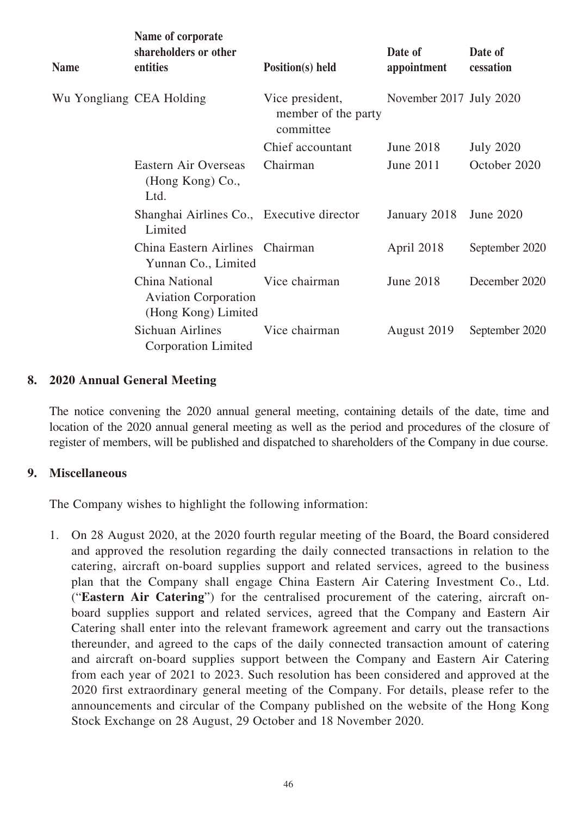| <b>Name</b>              | Name of corporate<br>shareholders or other<br>entities               | <b>Position(s)</b> held                             | Date of<br>appointment  | Date of<br>cessation |
|--------------------------|----------------------------------------------------------------------|-----------------------------------------------------|-------------------------|----------------------|
| Wu Yongliang CEA Holding |                                                                      | Vice president,<br>member of the party<br>committee | November 2017 July 2020 |                      |
|                          |                                                                      | Chief accountant                                    | June 2018               | <b>July 2020</b>     |
|                          | Eastern Air Overseas<br>(Hong Kong) Co.,<br>Ltd.                     | Chairman                                            | June 2011               | October 2020         |
|                          | Shanghai Airlines Co., Executive director<br>Limited                 |                                                     | January 2018            | <b>June 2020</b>     |
|                          | China Eastern Airlines Chairman<br>Yunnan Co., Limited               |                                                     | April 2018              | September 2020       |
|                          | China National<br><b>Aviation Corporation</b><br>(Hong Kong) Limited | Vice chairman                                       | <b>June 2018</b>        | December 2020        |
|                          | Sichuan Airlines<br><b>Corporation Limited</b>                       | Vice chairman                                       | August 2019             | September 2020       |

## **8. 2020 Annual General Meeting**

The notice convening the 2020 annual general meeting, containing details of the date, time and location of the 2020 annual general meeting as well as the period and procedures of the closure of register of members, will be published and dispatched to shareholders of the Company in due course.

## **9. Miscellaneous**

The Company wishes to highlight the following information:

1. On 28 August 2020, at the 2020 fourth regular meeting of the Board, the Board considered and approved the resolution regarding the daily connected transactions in relation to the catering, aircraft on-board supplies support and related services, agreed to the business plan that the Company shall engage China Eastern Air Catering Investment Co., Ltd. ("**Eastern Air Catering**") for the centralised procurement of the catering, aircraft onboard supplies support and related services, agreed that the Company and Eastern Air Catering shall enter into the relevant framework agreement and carry out the transactions thereunder, and agreed to the caps of the daily connected transaction amount of catering and aircraft on-board supplies support between the Company and Eastern Air Catering from each year of 2021 to 2023. Such resolution has been considered and approved at the 2020 first extraordinary general meeting of the Company. For details, please refer to the announcements and circular of the Company published on the website of the Hong Kong Stock Exchange on 28 August, 29 October and 18 November 2020.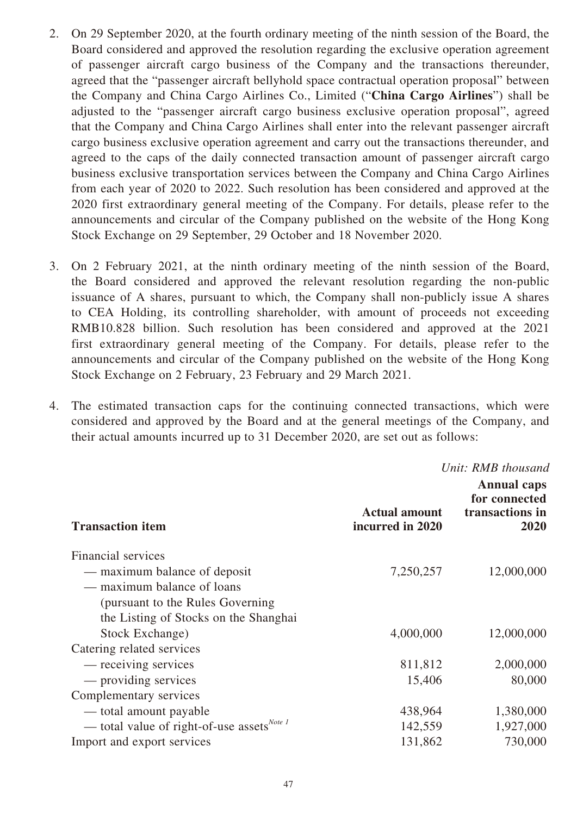- 2. On 29 September 2020, at the fourth ordinary meeting of the ninth session of the Board, the Board considered and approved the resolution regarding the exclusive operation agreement of passenger aircraft cargo business of the Company and the transactions thereunder, agreed that the "passenger aircraft bellyhold space contractual operation proposal" between the Company and China Cargo Airlines Co., Limited ("**China Cargo Airlines**") shall be adjusted to the "passenger aircraft cargo business exclusive operation proposal", agreed that the Company and China Cargo Airlines shall enter into the relevant passenger aircraft cargo business exclusive operation agreement and carry out the transactions thereunder, and agreed to the caps of the daily connected transaction amount of passenger aircraft cargo business exclusive transportation services between the Company and China Cargo Airlines from each year of 2020 to 2022. Such resolution has been considered and approved at the 2020 first extraordinary general meeting of the Company. For details, please refer to the announcements and circular of the Company published on the website of the Hong Kong Stock Exchange on 29 September, 29 October and 18 November 2020.
- 3. On 2 February 2021, at the ninth ordinary meeting of the ninth session of the Board, the Board considered and approved the relevant resolution regarding the non-public issuance of A shares, pursuant to which, the Company shall non-publicly issue A shares to CEA Holding, its controlling shareholder, with amount of proceeds not exceeding RMB10.828 billion. Such resolution has been considered and approved at the 2021 first extraordinary general meeting of the Company. For details, please refer to the announcements and circular of the Company published on the website of the Hong Kong Stock Exchange on 2 February, 23 February and 29 March 2021.
- 4. The estimated transaction caps for the continuing connected transactions, which were considered and approved by the Board and at the general meetings of the Company, and their actual amounts incurred up to 31 December 2020, are set out as follows:

*Unit: RMB thousand*

| <b>Transaction item</b>                          | <b>Actual amount</b><br>incurred in 2020 | <b>Annual caps</b><br>for connected<br>transactions in<br>2020 |
|--------------------------------------------------|------------------------------------------|----------------------------------------------------------------|
| <b>Financial services</b>                        |                                          |                                                                |
| — maximum balance of deposit                     | 7,250,257                                | 12,000,000                                                     |
| — maximum balance of loans                       |                                          |                                                                |
| (pursuant to the Rules Governing)                |                                          |                                                                |
| the Listing of Stocks on the Shanghai            |                                          |                                                                |
| Stock Exchange)                                  | 4,000,000                                | 12,000,000                                                     |
| Catering related services                        |                                          |                                                                |
| — receiving services                             | 811,812                                  | 2,000,000                                                      |
| — providing services                             | 15,406                                   | 80,000                                                         |
| Complementary services                           |                                          |                                                                |
| - total amount payable                           | 438,964                                  | 1,380,000                                                      |
| — total value of right-of-use assets $^{Note 1}$ | 142,559                                  | 1,927,000                                                      |
| Import and export services                       | 131,862                                  | 730,000                                                        |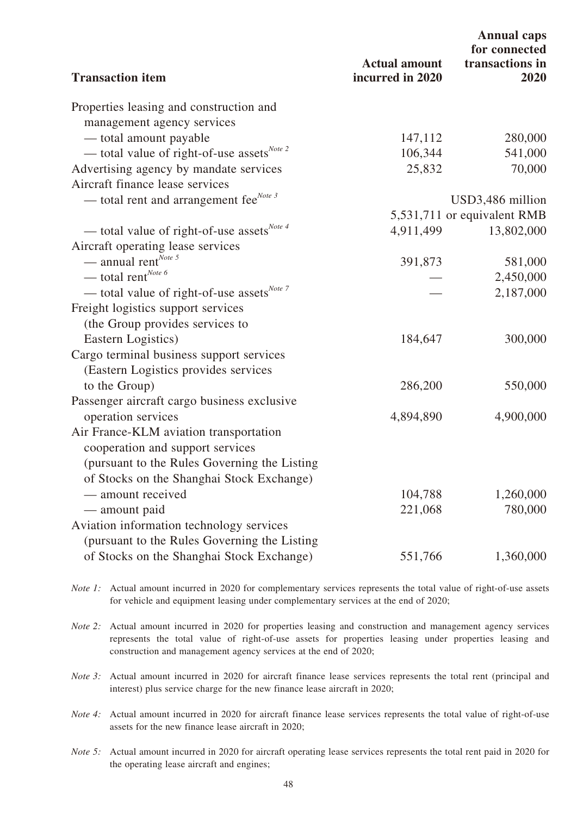|                                                        |                                          | <b>Annual caps</b><br>for connected |
|--------------------------------------------------------|------------------------------------------|-------------------------------------|
| <b>Transaction item</b>                                | <b>Actual amount</b><br>incurred in 2020 | transactions in<br>2020             |
| Properties leasing and construction and                |                                          |                                     |
| management agency services                             |                                          |                                     |
| — total amount payable                                 | 147,112                                  | 280,000                             |
| - total value of right-of-use assets <sup>Note 2</sup> | 106,344                                  | 541,000                             |
| Advertising agency by mandate services                 | 25,832                                   | 70,000                              |
| Aircraft finance lease services                        |                                          |                                     |
| — total rent and arrangement fee $^{Note 3}$           |                                          | USD3,486 million                    |
|                                                        |                                          | 5,531,711 or equivalent RMB         |
| — total value of right-of-use assets <sup>Note 4</sup> | 4,911,499                                | 13,802,000                          |
| Aircraft operating lease services                      |                                          |                                     |
| — annual rent <sup>Note 5</sup>                        | 391,873                                  | 581,000                             |
| — total rent <sup>Note 6</sup>                         |                                          | 2,450,000                           |
| — total value of right-of-use assets <sup>Note 7</sup> |                                          | 2,187,000                           |
| Freight logistics support services                     |                                          |                                     |
| (the Group provides services to                        |                                          |                                     |
| Eastern Logistics)                                     | 184,647                                  | 300,000                             |
| Cargo terminal business support services               |                                          |                                     |
| (Eastern Logistics provides services                   |                                          |                                     |
| to the Group)                                          | 286,200                                  | 550,000                             |
| Passenger aircraft cargo business exclusive            |                                          |                                     |
| operation services                                     | 4,894,890                                | 4,900,000                           |
| Air France-KLM aviation transportation                 |                                          |                                     |
| cooperation and support services                       |                                          |                                     |
| (pursuant to the Rules Governing the Listing)          |                                          |                                     |
| of Stocks on the Shanghai Stock Exchange)              |                                          |                                     |
| — amount received                                      | 104,788                                  | 1,260,000                           |
| — amount paid                                          | 221,068                                  | 780,000                             |
| Aviation information technology services               |                                          |                                     |
| (pursuant to the Rules Governing the Listing)          |                                          |                                     |
| of Stocks on the Shanghai Stock Exchange)              | 551,766                                  | 1,360,000                           |
|                                                        |                                          |                                     |

*Note 1*: Actual amount incurred in 2020 for complementary services represents the total value of right-of-use assets for vehicle and equipment leasing under complementary services at the end of 2020;

*Note 2:* Actual amount incurred in 2020 for properties leasing and construction and management agency services represents the total value of right-of-use assets for properties leasing under properties leasing and construction and management agency services at the end of 2020;

*Note 3:* Actual amount incurred in 2020 for aircraft finance lease services represents the total rent (principal and interest) plus service charge for the new finance lease aircraft in 2020;

*Note 4:* Actual amount incurred in 2020 for aircraft finance lease services represents the total value of right-of-use assets for the new finance lease aircraft in 2020;

*Note 5:* Actual amount incurred in 2020 for aircraft operating lease services represents the total rent paid in 2020 for the operating lease aircraft and engines;